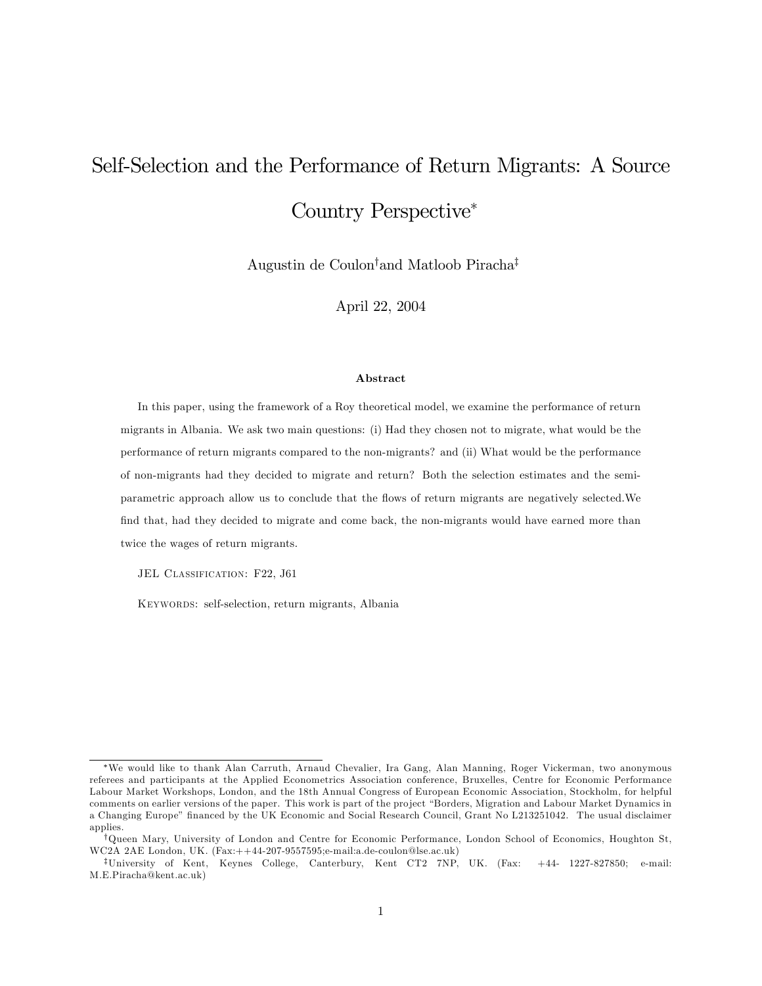# Self-Selection and the Performance of Return Migrants: A Source Country Perspective

Augustin de Coulon<sup>†</sup> and Matloob Piracha<sup>‡</sup>

April 22, 2004

#### Abstract

In this paper, using the framework of a Roy theoretical model, we examine the performance of return migrants in Albania. We ask two main questions: (i) Had they chosen not to migrate, what would be the performance of return migrants compared to the non-migrants? and (ii) What would be the performance of non-migrants had they decided to migrate and return? Both the selection estimates and the semiparametric approach allow us to conclude that the flows of return migrants are negatively selected. We find that, had they decided to migrate and come back, the non-migrants would have earned more than twice the wages of return migrants.

JEL CLASSIFICATION: F22, J61

Keywords: self-selection, return migrants, Albania

We would like to thank Alan Carruth, Arnaud Chevalier, Ira Gang, Alan Manning, Roger Vickerman, two anonymous referees and participants at the Applied Econometrics Association conference, Bruxelles, Centre for Economic Performance Labour Market Workshops, London, and the 18th Annual Congress of European Economic Association, Stockholm, for helpful comments on earlier versions of the paper. This work is part of the project "Borders, Migration and Labour Market Dynamics in a Changing Europe" financed by the UK Economic and Social Research Council, Grant No L213251042. The usual disclaimer applies.

<sup>&</sup>lt;sup>†</sup>Queen Mary, University of London and Centre for Economic Performance, London School of Economics, Houghton St, WC2A 2AE London, UK. (Fax:++44-207-9557595;e-mail:a.de-coulon@lse.ac.uk)

zUniversity of Kent, Keynes College, Canterbury, Kent CT2 7NP, UK. (Fax: +44- 1227-827850; e-mail: M.E.Piracha@kent.ac.uk)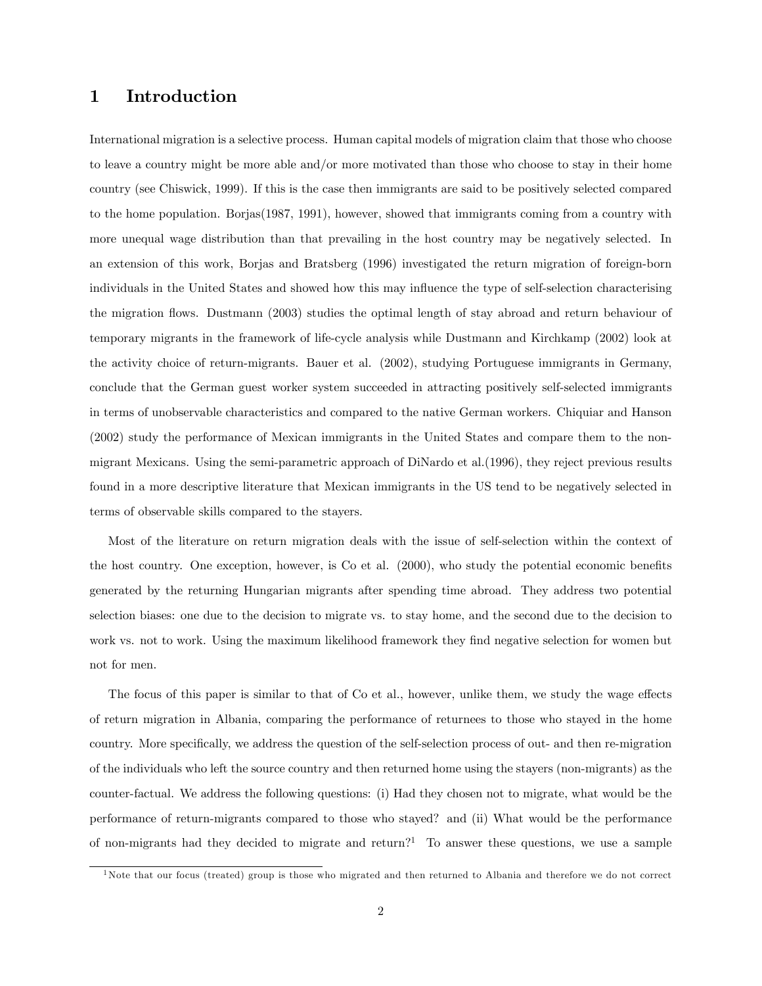## 1 Introduction

International migration is a selective process. Human capital models of migration claim that those who choose to leave a country might be more able and/or more motivated than those who choose to stay in their home country (see Chiswick, 1999). If this is the case then immigrants are said to be positively selected compared to the home population. Borjas(1987, 1991), however, showed that immigrants coming from a country with more unequal wage distribution than that prevailing in the host country may be negatively selected. In an extension of this work, Borjas and Bratsberg (1996) investigated the return migration of foreign-born individuals in the United States and showed how this may influence the type of self-selection characterising the migration flows. Dustmann (2003) studies the optimal length of stay abroad and return behaviour of temporary migrants in the framework of life-cycle analysis while Dustmann and Kirchkamp (2002) look at the activity choice of return-migrants. Bauer et al. (2002), studying Portuguese immigrants in Germany, conclude that the German guest worker system succeeded in attracting positively self-selected immigrants in terms of unobservable characteristics and compared to the native German workers. Chiquiar and Hanson (2002) study the performance of Mexican immigrants in the United States and compare them to the nonmigrant Mexicans. Using the semi-parametric approach of DiNardo et al.(1996), they reject previous results found in a more descriptive literature that Mexican immigrants in the US tend to be negatively selected in terms of observable skills compared to the stayers.

Most of the literature on return migration deals with the issue of self-selection within the context of the host country. One exception, however, is Co et al. (2000), who study the potential economic benefits generated by the returning Hungarian migrants after spending time abroad. They address two potential selection biases: one due to the decision to migrate vs. to stay home, and the second due to the decision to work vs. not to work. Using the maximum likelihood framework they find negative selection for women but not for men.

The focus of this paper is similar to that of Co et al., however, unlike them, we study the wage effects of return migration in Albania, comparing the performance of returnees to those who stayed in the home country. More specifically, we address the question of the self-selection process of out- and then re-migration of the individuals who left the source country and then returned home using the stayers (non-migrants) as the counter-factual. We address the following questions: (i) Had they chosen not to migrate, what would be the performance of return-migrants compared to those who stayed? and (ii) What would be the performance of non-migrants had they decided to migrate and return?<sup>1</sup> To answer these questions, we use a sample

 $1$ Note that our focus (treated) group is those who migrated and then returned to Albania and therefore we do not correct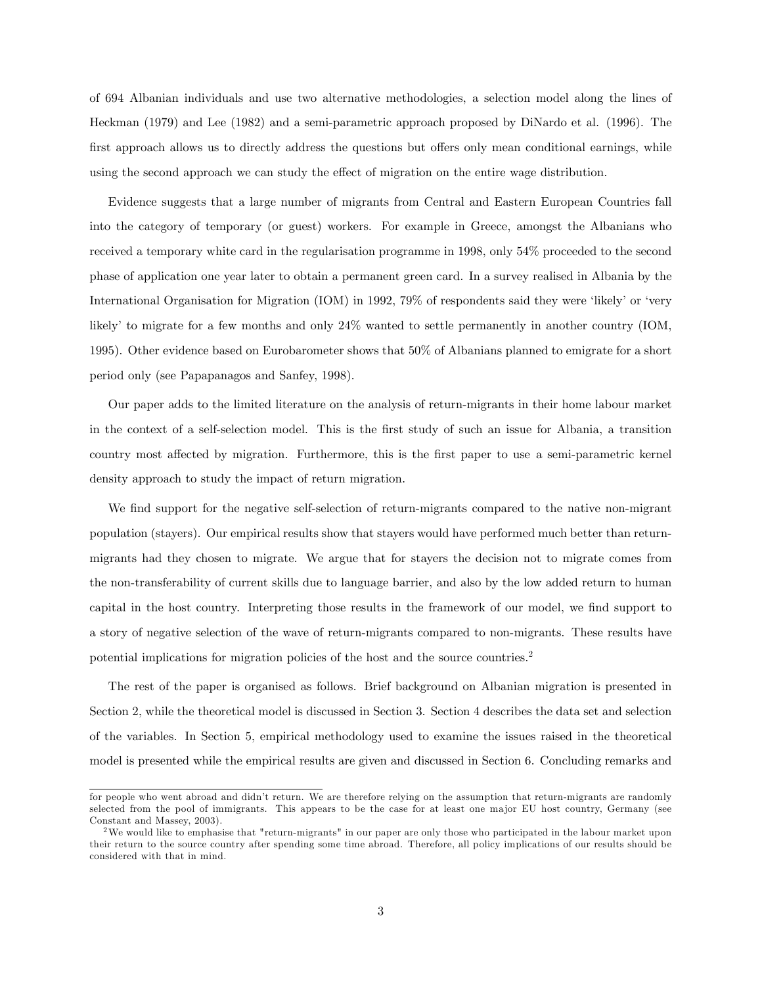of 694 Albanian individuals and use two alternative methodologies, a selection model along the lines of Heckman (1979) and Lee (1982) and a semi-parametric approach proposed by DiNardo et al. (1996). The first approach allows us to directly address the questions but offers only mean conditional earnings, while using the second approach we can study the effect of migration on the entire wage distribution.

Evidence suggests that a large number of migrants from Central and Eastern European Countries fall into the category of temporary (or guest) workers. For example in Greece, amongst the Albanians who received a temporary white card in the regularisation programme in 1998, only 54% proceeded to the second phase of application one year later to obtain a permanent green card. In a survey realised in Albania by the International Organisation for Migration (IOM) in 1992, 79% of respondents said they were 'likely' or 'very likely' to migrate for a few months and only  $24\%$  wanted to settle permanently in another country (IOM, 1995). Other evidence based on Eurobarometer shows that 50% of Albanians planned to emigrate for a short period only (see Papapanagos and Sanfey, 1998).

Our paper adds to the limited literature on the analysis of return-migrants in their home labour market in the context of a self-selection model. This is the first study of such an issue for Albania, a transition country most affected by migration. Furthermore, this is the first paper to use a semi-parametric kernel density approach to study the impact of return migration.

We find support for the negative self-selection of return-migrants compared to the native non-migrant population (stayers). Our empirical results show that stayers would have performed much better than returnmigrants had they chosen to migrate. We argue that for stayers the decision not to migrate comes from the non-transferability of current skills due to language barrier, and also by the low added return to human capital in the host country. Interpreting those results in the framework of our model, we find support to a story of negative selection of the wave of return-migrants compared to non-migrants. These results have potential implications for migration policies of the host and the source countries.<sup>2</sup>

The rest of the paper is organised as follows. Brief background on Albanian migration is presented in Section 2, while the theoretical model is discussed in Section 3. Section 4 describes the data set and selection of the variables. In Section 5, empirical methodology used to examine the issues raised in the theoretical model is presented while the empirical results are given and discussed in Section 6. Concluding remarks and

for people who went abroad and didn't return. We are therefore relying on the assumption that return-migrants are randomly selected from the pool of immigrants. This appears to be the case for at least one ma jor EU host country, Germany (see Constant and Massey, 2003).

 $2W$ e would like to emphasise that "return-migrants" in our paper are only those who participated in the labour market upon their return to the source country after spending some time abroad. Therefore, all policy implications of our results should be considered with that in mind.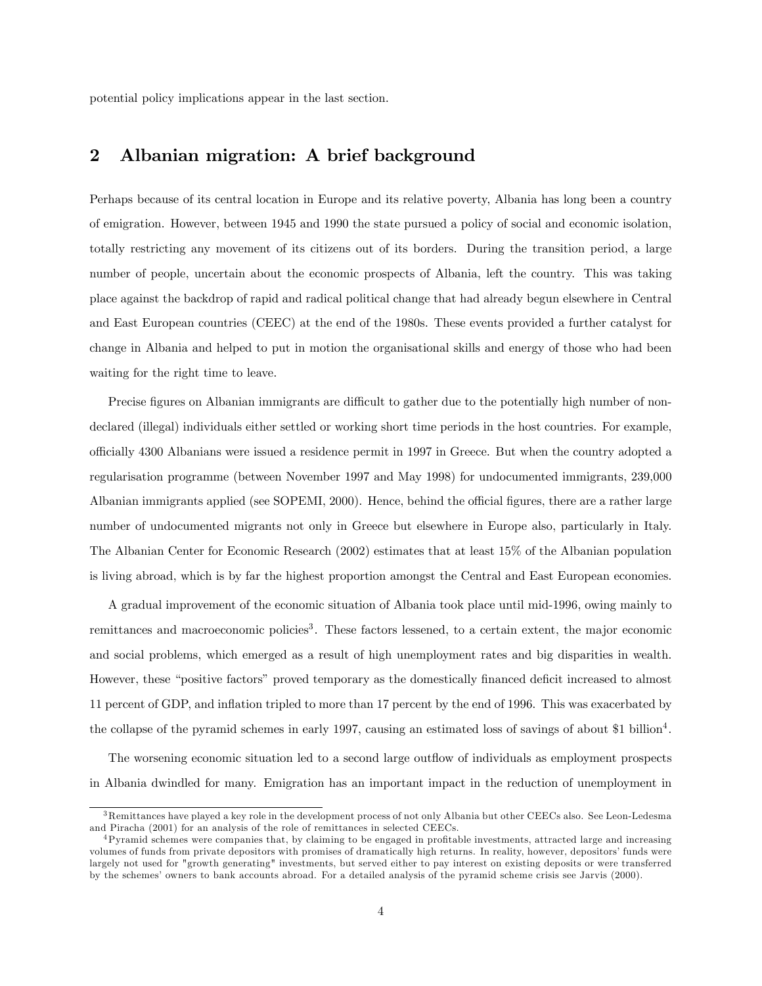potential policy implications appear in the last section.

## 2 Albanian migration: A brief background

Perhaps because of its central location in Europe and its relative poverty, Albania has long been a country of emigration. However, between 1945 and 1990 the state pursued a policy of social and economic isolation, totally restricting any movement of its citizens out of its borders. During the transition period, a large number of people, uncertain about the economic prospects of Albania, left the country. This was taking place against the backdrop of rapid and radical political change that had already begun elsewhere in Central and East European countries (CEEC) at the end of the 1980s. These events provided a further catalyst for change in Albania and helped to put in motion the organisational skills and energy of those who had been waiting for the right time to leave.

Precise figures on Albanian immigrants are difficult to gather due to the potentially high number of nondeclared (illegal) individuals either settled or working short time periods in the host countries. For example, o¢ cially 4300 Albanians were issued a residence permit in 1997 in Greece. But when the country adopted a regularisation programme (between November 1997 and May 1998) for undocumented immigrants, 239,000 Albanian immigrants applied (see SOPEMI, 2000). Hence, behind the official figures, there are a rather large number of undocumented migrants not only in Greece but elsewhere in Europe also, particularly in Italy. The Albanian Center for Economic Research (2002) estimates that at least 15% of the Albanian population is living abroad, which is by far the highest proportion amongst the Central and East European economies.

A gradual improvement of the economic situation of Albania took place until mid-1996, owing mainly to remittances and macroeconomic policies<sup>3</sup>. These factors lessened, to a certain extent, the major economic and social problems, which emerged as a result of high unemployment rates and big disparities in wealth. However, these "positive factors" proved temporary as the domestically financed deficit increased to almost 11 percent of GDP, and ináation tripled to more than 17 percent by the end of 1996. This was exacerbated by the collapse of the pyramid schemes in early 1997, causing an estimated loss of savings of about \$1 billion<sup>4</sup>.

The worsening economic situation led to a second large outflow of individuals as employment prospects in Albania dwindled for many. Emigration has an important impact in the reduction of unemployment in

<sup>3</sup>Remittances have played a key role in the development process of not only Albania but other CEECs also. See Leon-Ledesma and Piracha (2001) for an analysis of the role of remittances in selected CEECs.

<sup>&</sup>lt;sup>4</sup>Pyramid schemes were companies that, by claiming to be engaged in profitable investments, attracted large and increasing volumes of funds from private depositors with promises of dramatically high returns. In reality, however, depositors' funds were largely not used for "growth generating" investments, but served either to pay interest on existing deposits or were transferred by the schemes' owners to bank accounts abroad. For a detailed analysis of the pyramid scheme crisis see Jarvis (2000).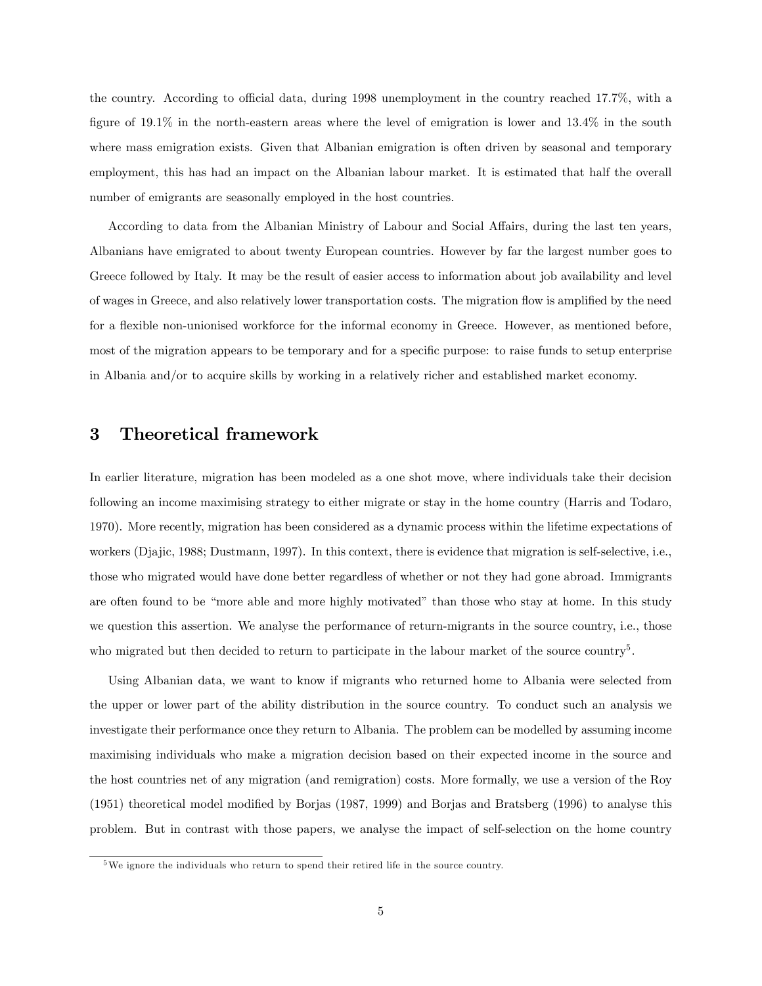the country. According to official data, during 1998 unemployment in the country reached 17.7%, with a figure of  $19.1\%$  in the north-eastern areas where the level of emigration is lower and  $13.4\%$  in the south where mass emigration exists. Given that Albanian emigration is often driven by seasonal and temporary employment, this has had an impact on the Albanian labour market. It is estimated that half the overall number of emigrants are seasonally employed in the host countries.

According to data from the Albanian Ministry of Labour and Social Affairs, during the last ten years, Albanians have emigrated to about twenty European countries. However by far the largest number goes to Greece followed by Italy. It may be the result of easier access to information about job availability and level of wages in Greece, and also relatively lower transportation costs. The migration flow is amplified by the need for a flexible non-unionised workforce for the informal economy in Greece. However, as mentioned before, most of the migration appears to be temporary and for a specific purpose: to raise funds to setup enterprise in Albania and/or to acquire skills by working in a relatively richer and established market economy.

## 3 Theoretical framework

In earlier literature, migration has been modeled as a one shot move, where individuals take their decision following an income maximising strategy to either migrate or stay in the home country (Harris and Todaro, 1970). More recently, migration has been considered as a dynamic process within the lifetime expectations of workers (Djajic, 1988; Dustmann, 1997). In this context, there is evidence that migration is self-selective, i.e., those who migrated would have done better regardless of whether or not they had gone abroad. Immigrants are often found to be "more able and more highly motivated" than those who stay at home. In this study we question this assertion. We analyse the performance of return-migrants in the source country, i.e., those who migrated but then decided to return to participate in the labour market of the source country<sup>5</sup>.

Using Albanian data, we want to know if migrants who returned home to Albania were selected from the upper or lower part of the ability distribution in the source country. To conduct such an analysis we investigate their performance once they return to Albania. The problem can be modelled by assuming income maximising individuals who make a migration decision based on their expected income in the source and the host countries net of any migration (and remigration) costs. More formally, we use a version of the Roy  $(1951)$  theoretical model modified by Borjas  $(1987, 1999)$  and Borjas and Bratsberg  $(1996)$  to analyse this problem. But in contrast with those papers, we analyse the impact of self-selection on the home country

<sup>&</sup>lt;sup>5</sup>We ignore the individuals who return to spend their retired life in the source country.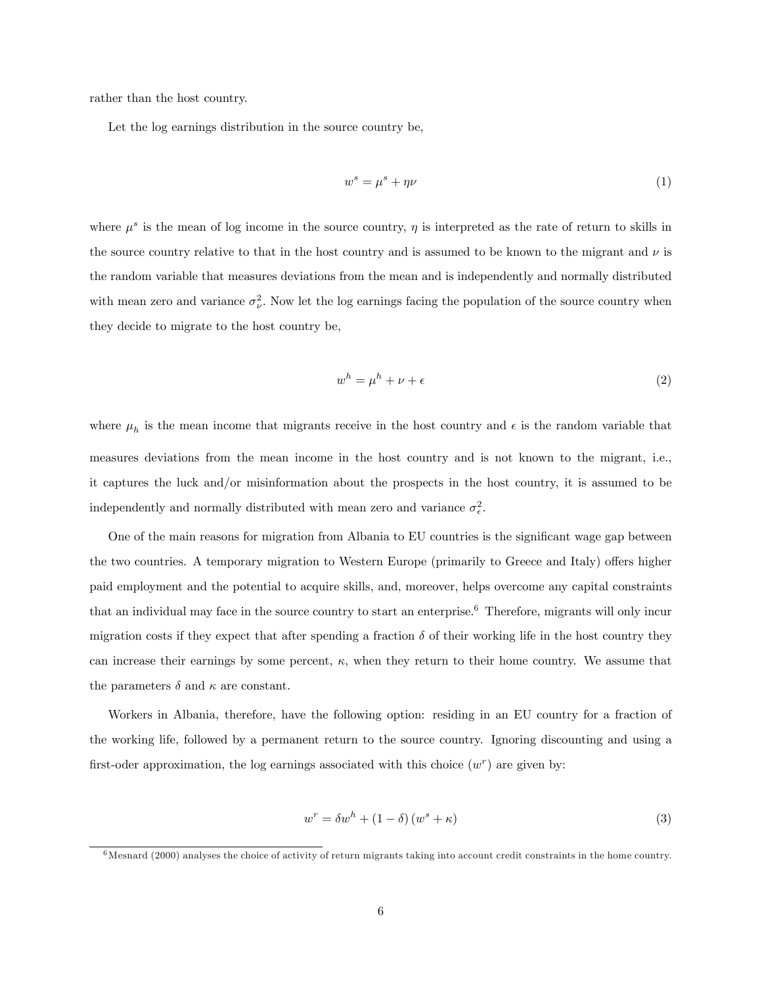rather than the host country.

Let the log earnings distribution in the source country be,

$$
w^s = \mu^s + \eta \nu \tag{1}
$$

where  $\mu^s$  is the mean of log income in the source country,  $\eta$  is interpreted as the rate of return to skills in the source country relative to that in the host country and is assumed to be known to the migrant and  $\nu$  is the random variable that measures deviations from the mean and is independently and normally distributed with mean zero and variance  $\sigma_{\nu}^2$ . Now let the log earnings facing the population of the source country when they decide to migrate to the host country be,

$$
w^h = \mu^h + \nu + \epsilon \tag{2}
$$

where  $\mu_h$  is the mean income that migrants receive in the host country and  $\epsilon$  is the random variable that measures deviations from the mean income in the host country and is not known to the migrant, i.e., it captures the luck and/or misinformation about the prospects in the host country, it is assumed to be independently and normally distributed with mean zero and variance  $\sigma_{\epsilon}^2$ .

One of the main reasons for migration from Albania to EU countries is the significant wage gap between the two countries. A temporary migration to Western Europe (primarily to Greece and Italy) offers higher paid employment and the potential to acquire skills, and, moreover, helps overcome any capital constraints that an individual may face in the source country to start an enterprise.<sup>6</sup> Therefore, migrants will only incur migration costs if they expect that after spending a fraction  $\delta$  of their working life in the host country they can increase their earnings by some percent,  $\kappa$ , when they return to their home country. We assume that the parameters  $\delta$  and  $\kappa$  are constant.

Workers in Albania, therefore, have the following option: residing in an EU country for a fraction of the working life, followed by a permanent return to the source country. Ignoring discounting and using a first-oder approximation, the log earnings associated with this choice  $(w<sup>r</sup>)$  are given by:

$$
w^r = \delta w^h + (1 - \delta)(w^s + \kappa) \tag{3}
$$

 $6$ Mesnard (2000) analyses the choice of activity of return migrants taking into account credit constraints in the home country.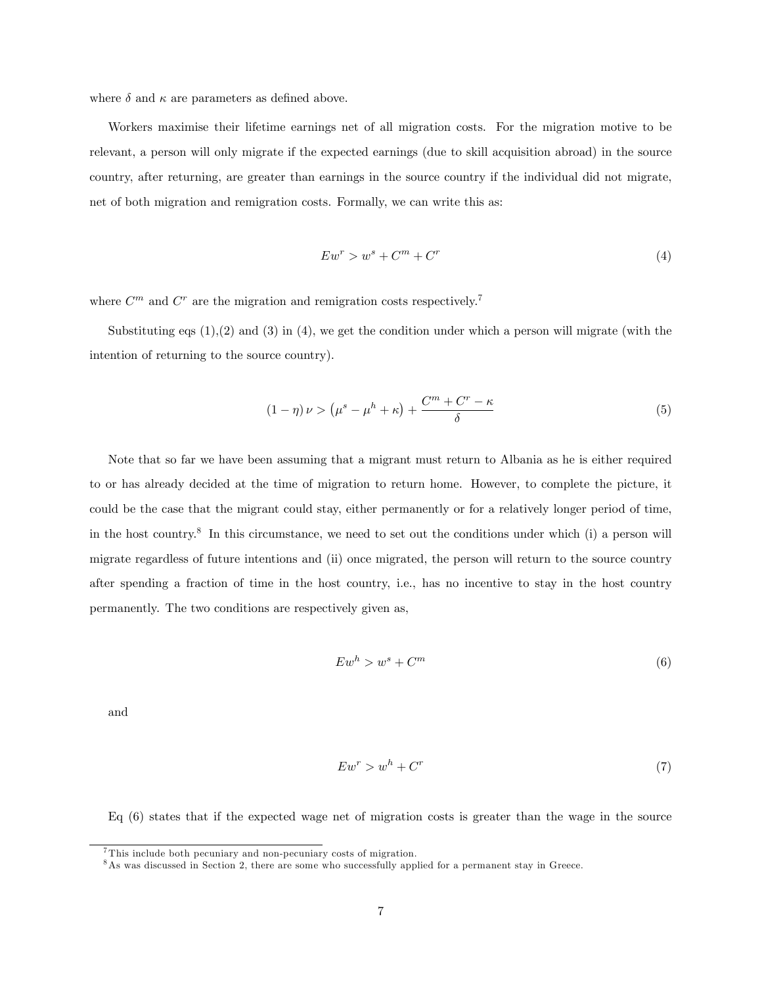where  $\delta$  and  $\kappa$  are parameters as defined above.

Workers maximise their lifetime earnings net of all migration costs. For the migration motive to be relevant, a person will only migrate if the expected earnings (due to skill acquisition abroad) in the source country, after returning, are greater than earnings in the source country if the individual did not migrate, net of both migration and remigration costs. Formally, we can write this as:

$$
Ew^r > w^s + C^m + C^r \tag{4}
$$

where  $C^m$  and  $C^r$  are the migration and remigration costs respectively.<sup>7</sup>

Substituting eqs  $(1),(2)$  and  $(3)$  in  $(4)$ , we get the condition under which a person will migrate (with the intention of returning to the source country).

$$
(1 - \eta)\nu > (\mu^s - \mu^h + \kappa) + \frac{C^m + C^r - \kappa}{\delta} \tag{5}
$$

Note that so far we have been assuming that a migrant must return to Albania as he is either required to or has already decided at the time of migration to return home. However, to complete the picture, it could be the case that the migrant could stay, either permanently or for a relatively longer period of time, in the host country.<sup>8</sup> In this circumstance, we need to set out the conditions under which (i) a person will migrate regardless of future intentions and (ii) once migrated, the person will return to the source country after spending a fraction of time in the host country, i.e., has no incentive to stay in the host country permanently. The two conditions are respectively given as,

$$
Ew^h > w^s + C^m \tag{6}
$$

and

$$
Ew^r > w^h + C^r \tag{7}
$$

Eq (6) states that if the expected wage net of migration costs is greater than the wage in the source

<sup>7</sup> This include both pecuniary and non-pecuniary costs of migration.

<sup>8</sup>As was discussed in Section 2, there are some who successfully applied for a permanent stay in Greece.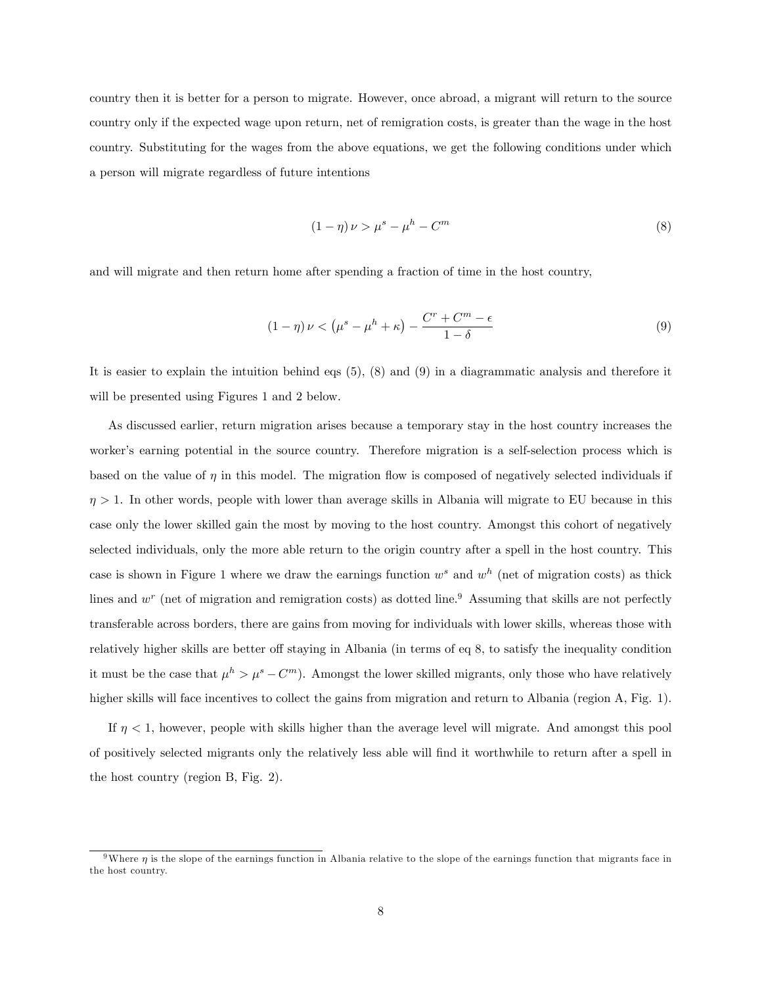country then it is better for a person to migrate. However, once abroad, a migrant will return to the source country only if the expected wage upon return, net of remigration costs, is greater than the wage in the host country. Substituting for the wages from the above equations, we get the following conditions under which a person will migrate regardless of future intentions

$$
(1 - \eta)\nu > \mu^s - \mu^h - C^m \tag{8}
$$

and will migrate and then return home after spending a fraction of time in the host country,

$$
(1 - \eta)\nu < \left(\mu^s - \mu^h + \kappa\right) - \frac{C^r + C^m - \epsilon}{1 - \delta} \tag{9}
$$

It is easier to explain the intuition behind eqs (5), (8) and (9) in a diagrammatic analysis and therefore it will be presented using Figures 1 and 2 below.

As discussed earlier, return migration arises because a temporary stay in the host country increases the worker's earning potential in the source country. Therefore migration is a self-selection process which is based on the value of  $\eta$  in this model. The migration flow is composed of negatively selected individuals if  $\eta > 1$ . In other words, people with lower than average skills in Albania will migrate to EU because in this case only the lower skilled gain the most by moving to the host country. Amongst this cohort of negatively selected individuals, only the more able return to the origin country after a spell in the host country. This case is shown in Figure 1 where we draw the earnings function  $w^s$  and  $w^h$  (net of migration costs) as thick lines and  $w^r$  (net of migration and remigration costs) as dotted line.<sup>9</sup> Assuming that skills are not perfectly transferable across borders, there are gains from moving for individuals with lower skills, whereas those with relatively higher skills are better off staying in Albania (in terms of eq 8, to satisfy the inequality condition it must be the case that  $\mu^h > \mu^s - C^m$ ). Amongst the lower skilled migrants, only those who have relatively higher skills will face incentives to collect the gains from migration and return to Albania (region A, Fig. 1).

If  $\eta < 1$ , however, people with skills higher than the average level will migrate. And amongst this pool of positively selected migrants only the relatively less able will Önd it worthwhile to return after a spell in the host country (region B, Fig. 2).

<sup>&</sup>lt;sup>9</sup>Where  $\eta$  is the slope of the earnings function in Albania relative to the slope of the earnings function that migrants face in the host country.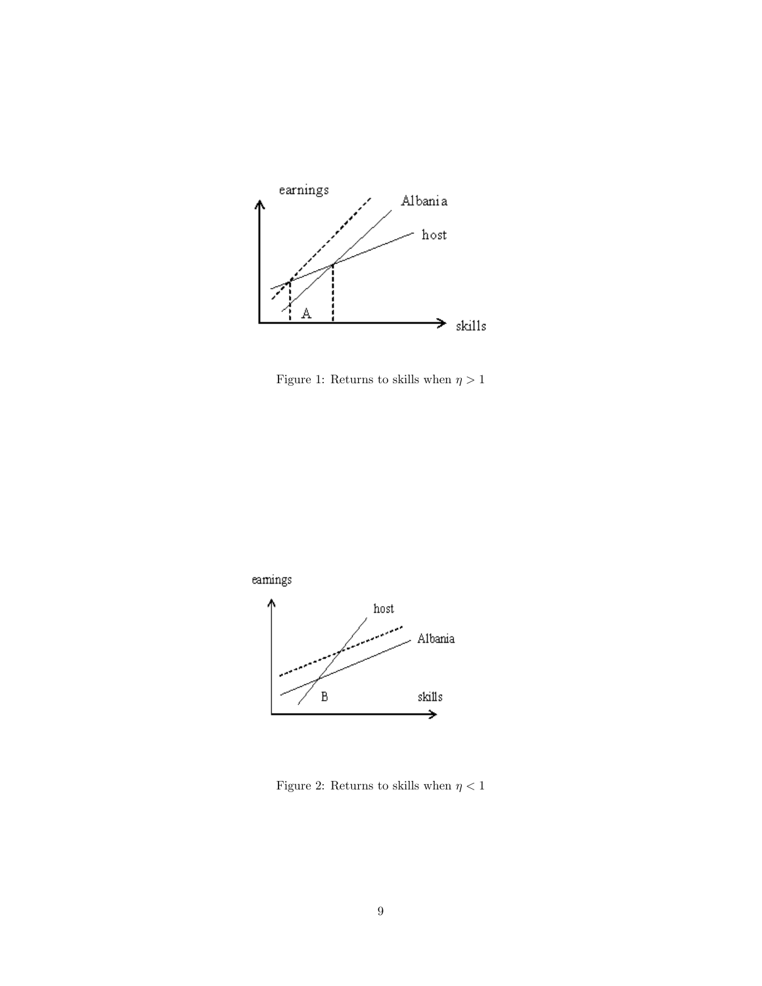

Figure 1: Returns to skills when  $\eta > 1$ 



Figure 2: Returns to skills when  $\eta < 1$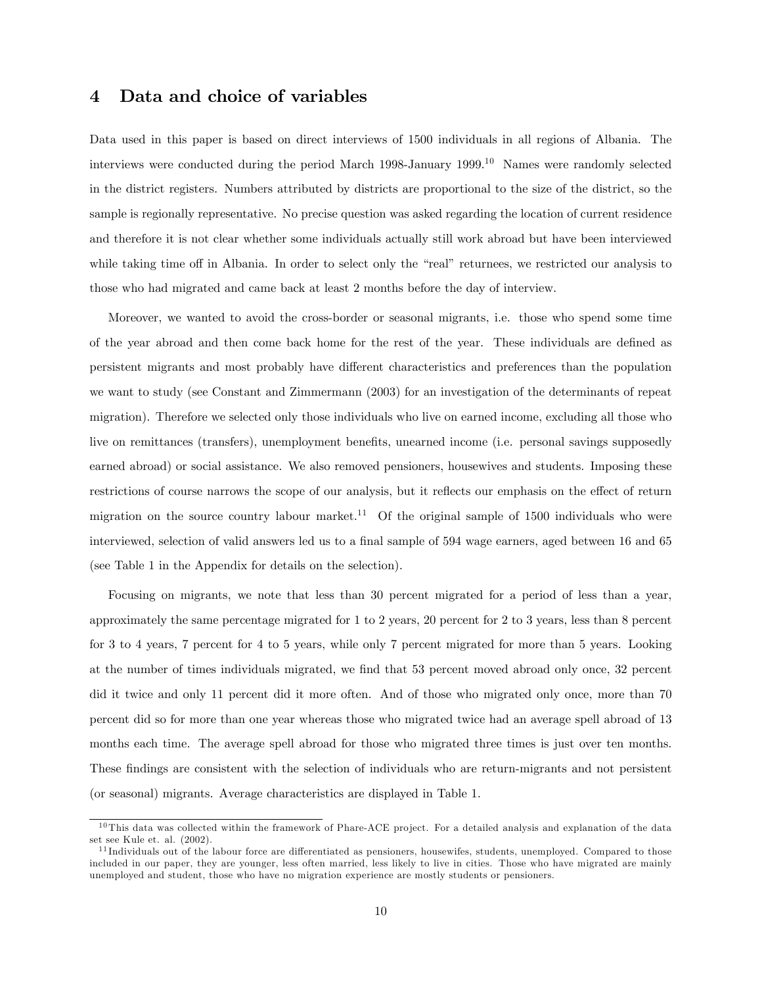## 4 Data and choice of variables

Data used in this paper is based on direct interviews of 1500 individuals in all regions of Albania. The interviews were conducted during the period March 1998-January 1999.<sup>10</sup> Names were randomly selected in the district registers. Numbers attributed by districts are proportional to the size of the district, so the sample is regionally representative. No precise question was asked regarding the location of current residence and therefore it is not clear whether some individuals actually still work abroad but have been interviewed while taking time off in Albania. In order to select only the "real" returnees, we restricted our analysis to those who had migrated and came back at least 2 months before the day of interview.

Moreover, we wanted to avoid the cross-border or seasonal migrants, i.e. those who spend some time of the year abroad and then come back home for the rest of the year. These individuals are defined as persistent migrants and most probably have different characteristics and preferences than the population we want to study (see Constant and Zimmermann (2003) for an investigation of the determinants of repeat migration). Therefore we selected only those individuals who live on earned income, excluding all those who live on remittances (transfers), unemployment benefits, unearned income (i.e. personal savings supposedly earned abroad) or social assistance. We also removed pensioners, housewives and students. Imposing these restrictions of course narrows the scope of our analysis, but it reflects our emphasis on the effect of return migration on the source country labour market.<sup>11</sup> Of the original sample of 1500 individuals who were interviewed, selection of valid answers led us to a final sample of 594 wage earners, aged between 16 and 65 (see Table 1 in the Appendix for details on the selection).

Focusing on migrants, we note that less than 30 percent migrated for a period of less than a year, approximately the same percentage migrated for 1 to 2 years, 20 percent for 2 to 3 years, less than 8 percent for 3 to 4 years, 7 percent for 4 to 5 years, while only 7 percent migrated for more than 5 years. Looking at the number of times individuals migrated, we find that 53 percent moved abroad only once, 32 percent did it twice and only 11 percent did it more often. And of those who migrated only once, more than 70 percent did so for more than one year whereas those who migrated twice had an average spell abroad of 13 months each time. The average spell abroad for those who migrated three times is just over ten months. These Öndings are consistent with the selection of individuals who are return-migrants and not persistent (or seasonal) migrants. Average characteristics are displayed in Table 1.

 $10$ This data was collected within the framework of Phare-ACE project. For a detailed analysis and explanation of the data set see Kule et. al. (2002).

 $11$ Individuals out of the labour force are differentiated as pensioners, housewifes, students, unemployed. Compared to those included in our paper, they are younger, less often married, less likely to live in cities. Those who have migrated are mainly unemployed and student, those who have no migration experience are mostly students or pensioners.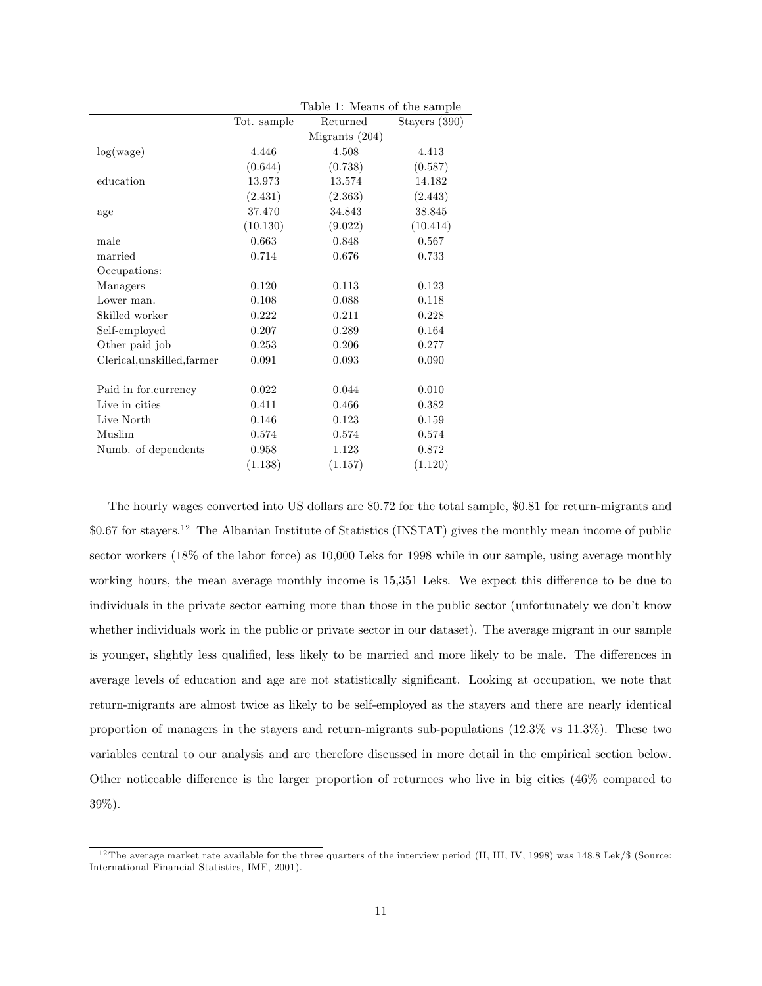|                             |             | Table 1: Means of the sample |               |
|-----------------------------|-------------|------------------------------|---------------|
|                             | Tot. sample | Returned                     | Stayers (390) |
|                             |             | Migrants (204)               |               |
| log(wage)                   | 4.446       | 4.508                        | 4.413         |
|                             | (0.644)     | (0.738)                      | (0.587)       |
| education                   | 13.973      | 13.574                       | 14.182        |
|                             | (2.431)     | (2.363)                      | (2.443)       |
| age                         | 37.470      | 34.843                       | 38.845        |
|                             | (10.130)    | (9.022)                      | (10.414)      |
| male                        | 0.663       | 0.848                        | 0.567         |
| married                     | 0.714       | 0.676                        | 0.733         |
| Occupations:                |             |                              |               |
| Managers                    | 0.120       | 0.113                        | 0.123         |
| Lower man.                  | 0.108       | 0.088                        | 0.118         |
| Skilled worker              | 0.222       | 0.211                        | 0.228         |
| Self-employed               | 0.207       | 0.289                        | 0.164         |
| Other paid job              | 0.253       | 0.206                        | 0.277         |
| Clerical, unskilled, farmer | 0.091       | 0.093                        | 0.090         |
|                             |             |                              |               |
| Paid in for currency        | 0.022       | 0.044                        | 0.010         |
| Live in cities              | 0.411       | 0.466                        | 0.382         |
| Live North                  | 0.146       | 0.123                        | 0.159         |
| Muslim                      | 0.574       | 0.574                        | 0.574         |
| Numb. of dependents         | 0.958       | 1.123                        | 0.872         |
|                             | (1.138)     | (1.157)                      | (1.120)       |

The hourly wages converted into US dollars are \$0.72 for the total sample, \$0.81 for return-migrants and \$0.67 for stayers.<sup>12</sup> The Albanian Institute of Statistics (INSTAT) gives the monthly mean income of public sector workers (18% of the labor force) as 10,000 Leks for 1998 while in our sample, using average monthly working hours, the mean average monthly income is 15,351 Leks. We expect this difference to be due to individuals in the private sector earning more than those in the public sector (unfortunately we don't know whether individuals work in the public or private sector in our dataset). The average migrant in our sample is younger, slightly less qualified, less likely to be married and more likely to be male. The differences in average levels of education and age are not statistically significant. Looking at occupation, we note that return-migrants are almost twice as likely to be self-employed as the stayers and there are nearly identical proportion of managers in the stayers and return-migrants sub-populations (12.3% vs 11.3%). These two variables central to our analysis and are therefore discussed in more detail in the empirical section below. Other noticeable difference is the larger proportion of returnees who live in big cities  $(46\%$  compared to 39%).

 $12$  The average market rate available for the three quarters of the interview period (II, III, IV, 1998) was 148.8 Lek/\$ (Source: International Financial Statistics, IMF, 2001).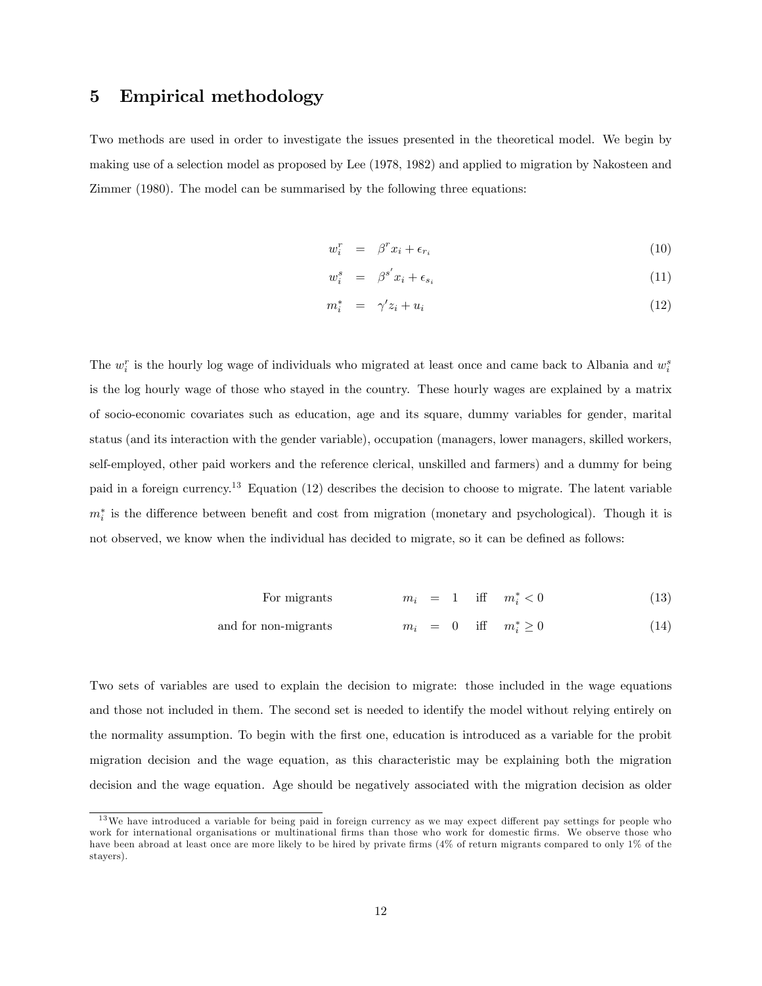## 5 Empirical methodology

Two methods are used in order to investigate the issues presented in the theoretical model. We begin by making use of a selection model as proposed by Lee (1978, 1982) and applied to migration by Nakosteen and Zimmer (1980). The model can be summarised by the following three equations:

$$
w_i^r = \beta^r x_i + \epsilon_{r_i} \tag{10}
$$

$$
w_i^s = \beta^{s'} x_i + \epsilon_{s_i} \tag{11}
$$

$$
m_i^* = \gamma' z_i + u_i \tag{12}
$$

The  $w_i^r$  is the hourly log wage of individuals who migrated at least once and came back to Albania and  $w_i^s$ is the log hourly wage of those who stayed in the country. These hourly wages are explained by a matrix of socio-economic covariates such as education, age and its square, dummy variables for gender, marital status (and its interaction with the gender variable), occupation (managers, lower managers, skilled workers, self-employed, other paid workers and the reference clerical, unskilled and farmers) and a dummy for being paid in a foreign currency.<sup>13</sup> Equation (12) describes the decision to choose to migrate. The latent variable  $m_i^*$  is the difference between benefit and cost from migration (monetary and psychological). Though it is not observed, we know when the individual has decided to migrate, so it can be defined as follows:

For migrants 
$$
m_i = 1 \quad \text{iff} \quad m_i^* < 0 \tag{13}
$$

and for non-migrants 
$$
m_i = 0
$$
 iff  $m_i^* \ge 0$  (14)

Two sets of variables are used to explain the decision to migrate: those included in the wage equations and those not included in them. The second set is needed to identify the model without relying entirely on the normality assumption. To begin with the Örst one, education is introduced as a variable for the probit migration decision and the wage equation, as this characteristic may be explaining both the migration decision and the wage equation. Age should be negatively associated with the migration decision as older

 $13$  We have introduced a variable for being paid in foreign currency as we may expect different pay settings for people who work for international organisations or multinational firms than those who work for domestic firms. We observe those who have been abroad at least once are more likely to be hired by private firms (4% of return migrants compared to only 1% of the stayers).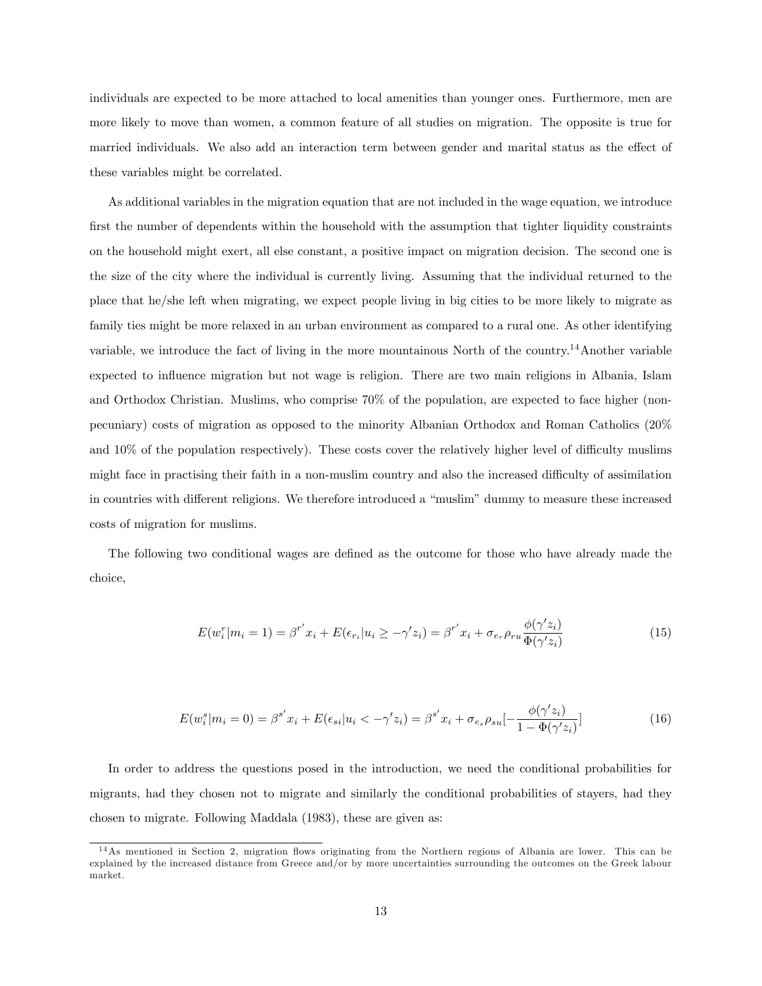individuals are expected to be more attached to local amenities than younger ones. Furthermore, men are more likely to move than women, a common feature of all studies on migration. The opposite is true for married individuals. We also add an interaction term between gender and marital status as the effect of these variables might be correlated.

As additional variables in the migration equation that are not included in the wage equation, we introduce first the number of dependents within the household with the assumption that tighter liquidity constraints on the household might exert, all else constant, a positive impact on migration decision. The second one is the size of the city where the individual is currently living. Assuming that the individual returned to the place that he/she left when migrating, we expect people living in big cities to be more likely to migrate as family ties might be more relaxed in an urban environment as compared to a rural one. As other identifying variable, we introduce the fact of living in the more mountainous North of the country.<sup>14</sup>Another variable expected to influence migration but not wage is religion. There are two main religions in Albania, Islam and Orthodox Christian. Muslims, who comprise 70% of the population, are expected to face higher (nonpecuniary) costs of migration as opposed to the minority Albanian Orthodox and Roman Catholics (20% and  $10\%$  of the population respectively). These costs cover the relatively higher level of difficulty muslims might face in practising their faith in a non-muslim country and also the increased difficulty of assimilation in countries with different religions. We therefore introduced a "muslim" dummy to measure these increased costs of migration for muslims.

The following two conditional wages are defined as the outcome for those who have already made the choice,

$$
E(w_i^r|m_i=1) = \beta^{r'}x_i + E(\epsilon_{r_i}|u_i \geq -\gamma'z_i) = \beta^{r'}x_i + \sigma_{e_r}\rho_{ru}\frac{\phi(\gamma'z_i)}{\Phi(\gamma'z_i)}
$$
(15)

$$
E(w_i^s|m_i = 0) = \beta^{s'} x_i + E(\epsilon_{si}|u_i < -\gamma' z_i) = \beta^{s'} x_i + \sigma_{e_s} \rho_{su} \left[-\frac{\phi(\gamma' z_i)}{1 - \Phi(\gamma' z_i)}\right] \tag{16}
$$

In order to address the questions posed in the introduction, we need the conditional probabilities for migrants, had they chosen not to migrate and similarly the conditional probabilities of stayers, had they chosen to migrate. Following Maddala (1983), these are given as:

<sup>&</sup>lt;sup>14</sup>As mentioned in Section 2, migration flows originating from the Northern regions of Albania are lower. This can be explained by the increased distance from Greece and/or by more uncertainties surrounding the outcomes on the Greek labour market.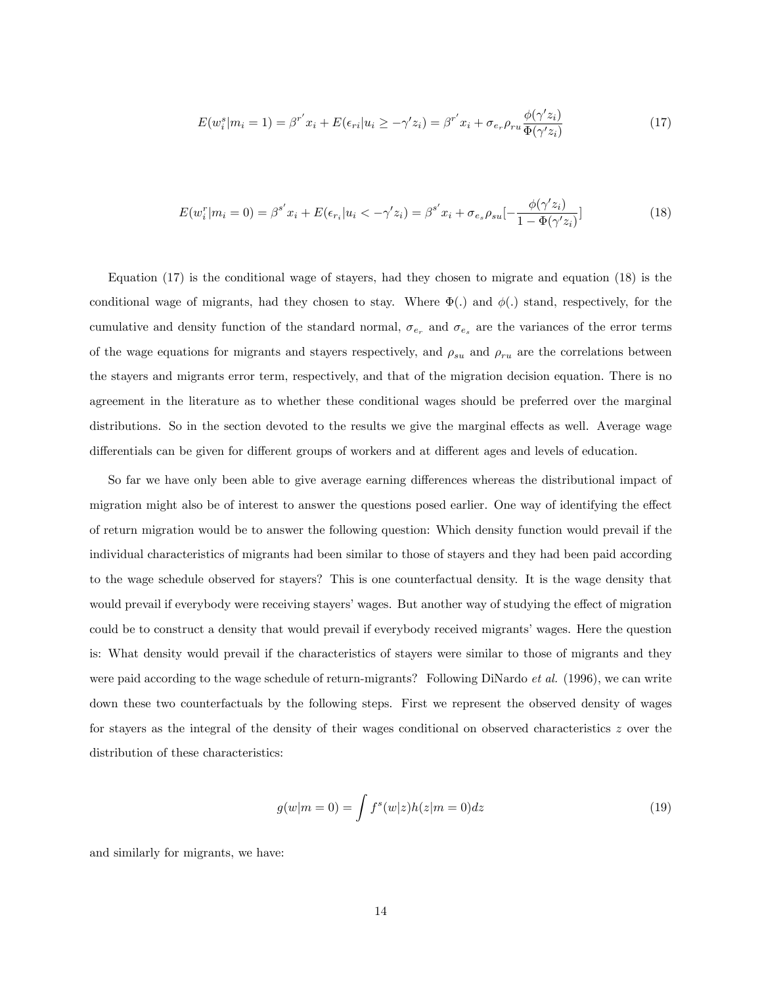$$
E(w_i^s|m_i=1) = \beta^{r'}x_i + E(\epsilon_{ri}|u_i \geq -\gamma'z_i) = \beta^{r'}x_i + \sigma_{e_r}\rho_{ru}\frac{\phi(\gamma'z_i)}{\Phi(\gamma'z_i)}
$$
(17)

$$
E(w_i^r | m_i = 0) = \beta^{s'} x_i + E(\epsilon_{r_i} | u_i < -\gamma' z_i) = \beta^{s'} x_i + \sigma_{e_s} \rho_{su} \left[ -\frac{\phi(\gamma' z_i)}{1 - \Phi(\gamma' z_i)} \right] \tag{18}
$$

Equation (17) is the conditional wage of stayers, had they chosen to migrate and equation (18) is the conditional wage of migrants, had they chosen to stay. Where  $\Phi(.)$  and  $\phi(.)$  stand, respectively, for the cumulative and density function of the standard normal,  $\sigma_{e_r}$  and  $\sigma_{e_s}$  are the variances of the error terms of the wage equations for migrants and stayers respectively, and  $\rho_{su}$  and  $\rho_{ru}$  are the correlations between the stayers and migrants error term, respectively, and that of the migration decision equation. There is no agreement in the literature as to whether these conditional wages should be preferred over the marginal distributions. So in the section devoted to the results we give the marginal effects as well. Average wage differentials can be given for different groups of workers and at different ages and levels of education.

So far we have only been able to give average earning differences whereas the distributional impact of migration might also be of interest to answer the questions posed earlier. One way of identifying the effect of return migration would be to answer the following question: Which density function would prevail if the individual characteristics of migrants had been similar to those of stayers and they had been paid according to the wage schedule observed for stayers? This is one counterfactual density. It is the wage density that would prevail if everybody were receiving stayers' wages. But another way of studying the effect of migration could be to construct a density that would prevail if everybody received migrants' wages. Here the question is: What density would prevail if the characteristics of stayers were similar to those of migrants and they were paid according to the wage schedule of return-migrants? Following DiNardo *et al.* (1996), we can write down these two counterfactuals by the following steps. First we represent the observed density of wages for stayers as the integral of the density of their wages conditional on observed characteristics z over the distribution of these characteristics:

$$
g(w|m=0) = \int f^s(w|z)h(z|m=0)dz
$$
\n(19)

and similarly for migrants, we have: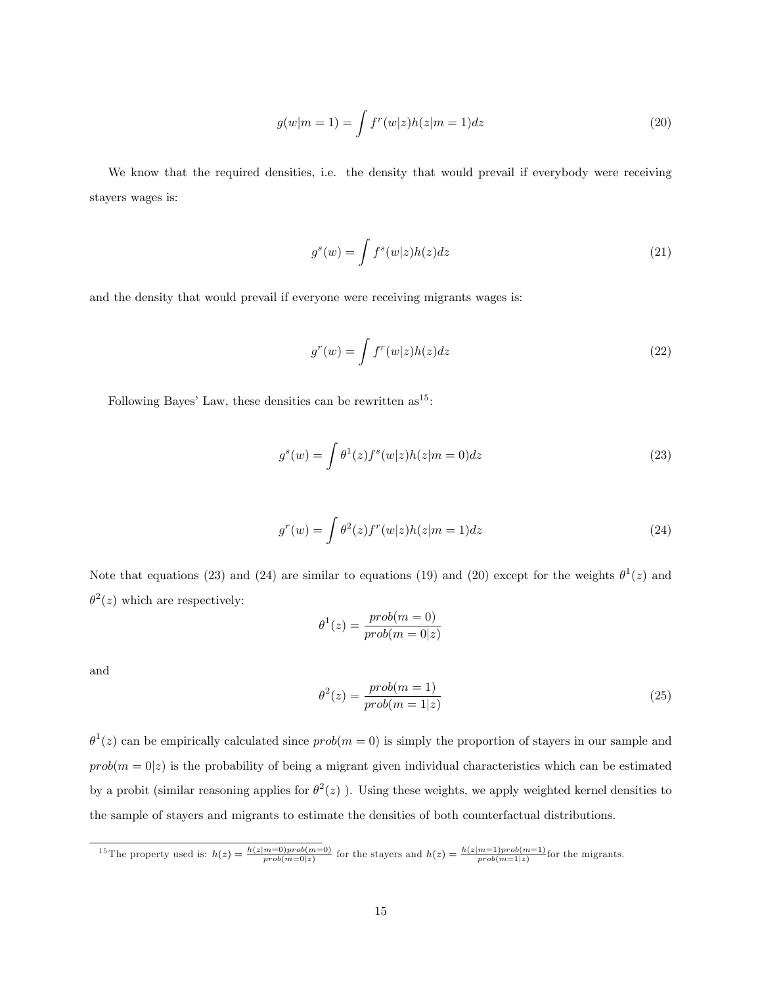$$
g(w|m=1) = \int f^r(w|z)h(z|m=1)dz
$$
\n(20)

We know that the required densities, i.e. the density that would prevail if everybody were receiving stayers wages is:

$$
g^s(w) = \int f^s(w|z)h(z)dz
$$
\n(21)

and the density that would prevail if everyone were receiving migrants wages is:

$$
g^r(w) = \int f^r(w|z)h(z)dz
$$
\n(22)

Following Bayes' Law, these densities can be rewritten  $as^{15}$ :

$$
g^{s}(w) = \int \theta^{1}(z)f^{s}(w|z)h(z|m=0)dz
$$
\n(23)

$$
g^{r}(w) = \int \theta^{2}(z) f^{r}(w|z) h(z|m=1) dz
$$
\n(24)

Note that equations (23) and (24) are similar to equations (19) and (20) except for the weights  $\theta^1(z)$  and  $\theta^2(z)$  which are respectively:

$$
\theta^{1}(z) = \frac{prob(m=0)}{prob(m=0|z)}
$$

and

$$
\theta^2(z) = \frac{prob(m=1)}{prob(m=1|z)}\tag{25}
$$

 $\theta^1(z)$  can be empirically calculated since  $prob(m = 0)$  is simply the proportion of stayers in our sample and  $prob(m = 0|z)$  is the probability of being a migrant given individual characteristics which can be estimated by a probit (similar reasoning applies for  $\theta^2(z)$ ). Using these weights, we apply weighted kernel densities to the sample of stayers and migrants to estimate the densities of both counterfactual distributions.

<sup>15</sup>The property used is:  $h(z) = \frac{h(z|m=0)prob(m=0)}{prob(m=0|z)}$  for the stayers and  $h(z) = \frac{h(z|m=1)prob(m=1)}{prob(m=1|z)}$  for the migrants.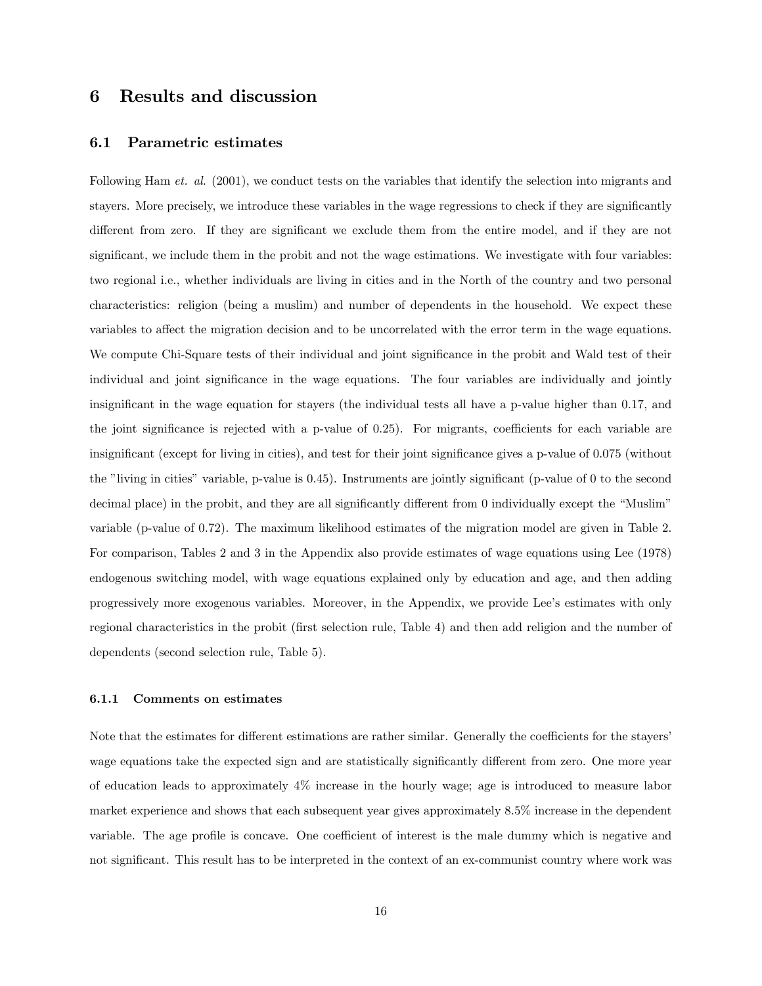### 6 Results and discussion

#### 6.1 Parametric estimates

Following Ham *et. al.* (2001), we conduct tests on the variables that identify the selection into migrants and stayers. More precisely, we introduce these variables in the wage regressions to check if they are significantly different from zero. If they are significant we exclude them from the entire model, and if they are not significant, we include them in the probit and not the wage estimations. We investigate with four variables: two regional i.e., whether individuals are living in cities and in the North of the country and two personal characteristics: religion (being a muslim) and number of dependents in the household. We expect these variables to affect the migration decision and to be uncorrelated with the error term in the wage equations. We compute Chi-Square tests of their individual and joint significance in the probit and Wald test of their individual and joint significance in the wage equations. The four variables are individually and jointly insignificant in the wage equation for stayers (the individual tests all have a p-value higher than 0.17, and the joint significance is rejected with a p-value of  $0.25$ ). For migrants, coefficients for each variable are insignificant (except for living in cities), and test for their joint significance gives a p-value of 0.075 (without the "living in cities" variable, p-value is  $0.45$ ). Instruments are jointly significant (p-value of 0 to the second decimal place) in the probit, and they are all significantly different from 0 individually except the "Muslim" variable (p-value of 0.72). The maximum likelihood estimates of the migration model are given in Table 2. For comparison, Tables 2 and 3 in the Appendix also provide estimates of wage equations using Lee (1978) endogenous switching model, with wage equations explained only by education and age, and then adding progressively more exogenous variables. Moreover, in the Appendix, we provide Lee's estimates with only regional characteristics in the probit (Örst selection rule, Table 4) and then add religion and the number of dependents (second selection rule, Table 5).

#### 6.1.1 Comments on estimates

Note that the estimates for different estimations are rather similar. Generally the coefficients for the stayers' wage equations take the expected sign and are statistically significantly different from zero. One more year of education leads to approximately 4% increase in the hourly wage; age is introduced to measure labor market experience and shows that each subsequent year gives approximately 8.5% increase in the dependent variable. The age profile is concave. One coefficient of interest is the male dummy which is negative and not significant. This result has to be interpreted in the context of an ex-communist country where work was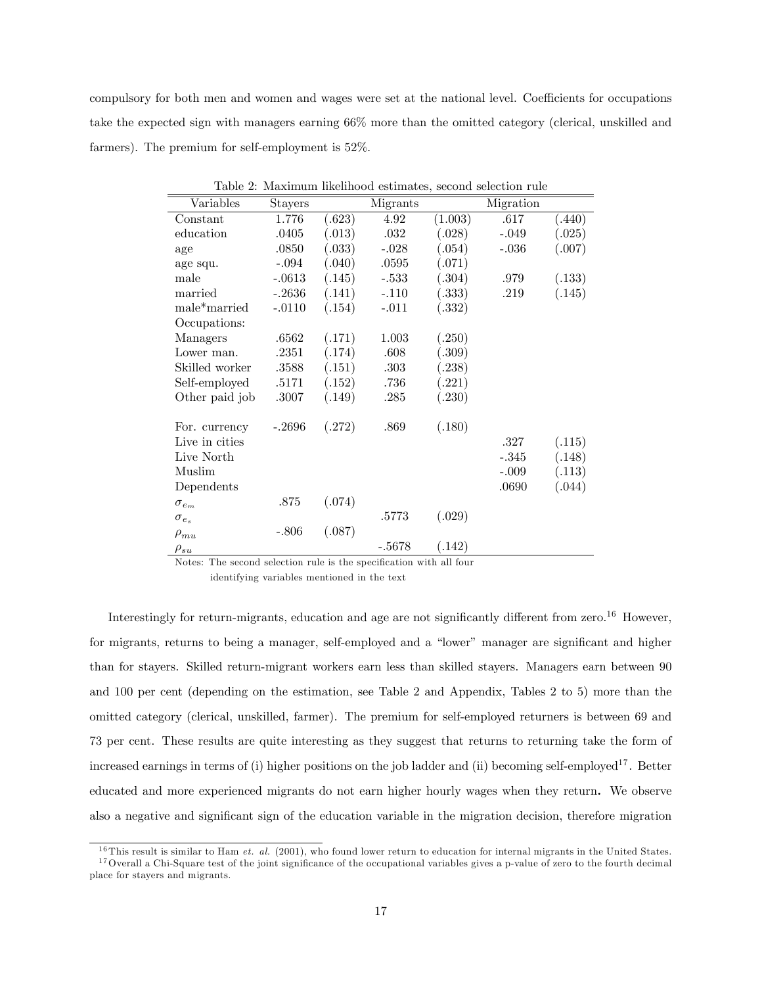compulsory for both men and women and wages were set at the national level. Coefficients for occupations take the expected sign with managers earning 66% more than the omitted category (clerical, unskilled and farmers). The premium for self-employment is 52%.

|                |                |        |          |         | Table 2: Maximum likelinood estimates, second selection rule |         |
|----------------|----------------|--------|----------|---------|--------------------------------------------------------------|---------|
| Variables      | <b>Stayers</b> |        | Migrants |         | Migration                                                    |         |
| Constant       | 1.776          | (.623) | 4.92     | (1.003) | .617                                                         | $-440)$ |
| education      | .0405          | (.013) | .032     | (.028)  | $-.049$                                                      | (.025)  |
| age            | .0850          | (.033) | $-.028$  | (.054)  | $-.036$                                                      | (.007)  |
| age squ.       | $-.094$        | (.040) | .0595    | (.071)  |                                                              |         |
| male           | $-.0613$       | (.145) | $-.533$  | (.304)  | .979                                                         | (.133)  |
| married        | $-.2636$       | (.141) | $-.110$  | (.333)  | .219                                                         | (.145)  |
| male*married   | $-.0110$       | (.154) | $-.011$  | (.332)  |                                                              |         |
| Occupations:   |                |        |          |         |                                                              |         |
| Managers       | .6562          | (.171) | 1.003    | (.250)  |                                                              |         |
| Lower man.     | .2351          | (.174) | .608     | (.309)  |                                                              |         |
| Skilled worker | .3588          | (.151) | .303     | (.238)  |                                                              |         |
| Self-employed  | .5171          | (.152) | .736     | (.221)  |                                                              |         |
| Other paid job | .3007          | (.149) | .285     | (.230)  |                                                              |         |
| For. currency  | $-.2696$       | (.272) | .869     | (.180)  |                                                              |         |
| Live in cities |                |        |          |         | .327                                                         | (.115)  |
| Live North     |                |        |          |         | $-.345$                                                      | (0.148) |
| Muslim         |                |        |          |         | $-.009$                                                      | (.113)  |
| Dependents     |                |        |          |         | .0690                                                        | (.044)  |
| $\sigma_{e_m}$ | .875           | (.074) |          |         |                                                              |         |
| $\sigma_{e_s}$ |                |        | .5773    | (.029)  |                                                              |         |
| $\rho_{mu}$    | $-.806$        | (.087) |          |         |                                                              |         |
| $\rho_{su}$    |                |        | $-.5678$ | (.142)  |                                                              |         |

Table 2: Maximum likelihood estimates, second selection rule

 $\equiv$ 

Notes: The second selection rule is the specification with all four

identifying variables mentioned in the text

Interestingly for return-migrants, education and age are not significantly different from zero.<sup>16</sup> However, for migrants, returns to being a manager, self-employed and a "lower" manager are significant and higher than for stayers. Skilled return-migrant workers earn less than skilled stayers. Managers earn between 90 and 100 per cent (depending on the estimation, see Table 2 and Appendix, Tables 2 to 5) more than the omitted category (clerical, unskilled, farmer). The premium for self-employed returners is between 69 and 73 per cent. These results are quite interesting as they suggest that returns to returning take the form of increased earnings in terms of (i) higher positions on the job ladder and (ii) becoming self-employed<sup>17</sup>. Better educated and more experienced migrants do not earn higher hourly wages when they return. We observe also a negative and significant sign of the education variable in the migration decision, therefore migration

<sup>&</sup>lt;sup>16</sup> This result is similar to Ham et. al. (2001), who found lower return to education for internal migrants in the United States.

 $17$ Overall a Chi-Square test of the joint significance of the occupational variables gives a p-value of zero to the fourth decimal place for stayers and migrants.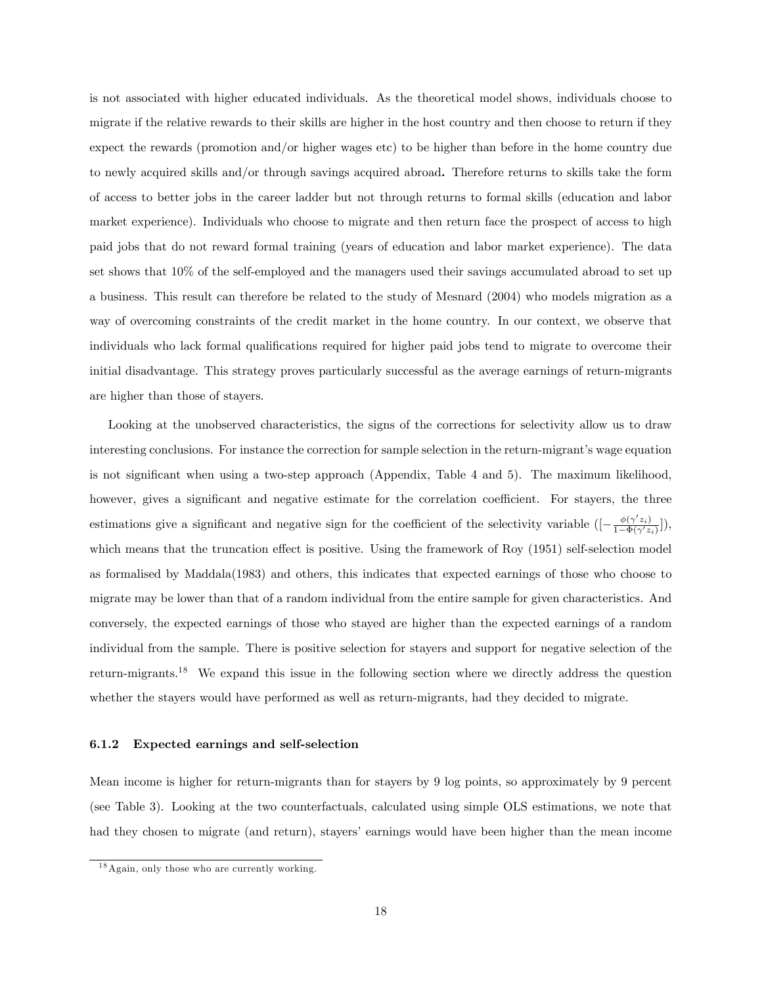is not associated with higher educated individuals. As the theoretical model shows, individuals choose to migrate if the relative rewards to their skills are higher in the host country and then choose to return if they expect the rewards (promotion and/or higher wages etc) to be higher than before in the home country due to newly acquired skills and/or through savings acquired abroad. Therefore returns to skills take the form of access to better jobs in the career ladder but not through returns to formal skills (education and labor market experience). Individuals who choose to migrate and then return face the prospect of access to high paid jobs that do not reward formal training (years of education and labor market experience). The data set shows that 10% of the self-employed and the managers used their savings accumulated abroad to set up a business. This result can therefore be related to the study of Mesnard (2004) who models migration as a way of overcoming constraints of the credit market in the home country. In our context, we observe that individuals who lack formal qualifications required for higher paid jobs tend to migrate to overcome their initial disadvantage. This strategy proves particularly successful as the average earnings of return-migrants are higher than those of stayers.

Looking at the unobserved characteristics, the signs of the corrections for selectivity allow us to draw interesting conclusions. For instance the correction for sample selection in the return-migrant's wage equation is not significant when using a two-step approach (Appendix, Table 4 and 5). The maximum likelihood, however, gives a significant and negative estimate for the correlation coefficient. For stayers, the three estimations give a significant and negative sign for the coefficient of the selectivity variable  $([-\frac{\phi(\gamma'z_i)}{1-\Phi(\gamma'z)}]$  $\frac{\varphi(\gamma z_i)}{1-\Phi(\gamma' z_i)}\big],$ which means that the truncation effect is positive. Using the framework of Roy (1951) self-selection model as formalised by Maddala(1983) and others, this indicates that expected earnings of those who choose to migrate may be lower than that of a random individual from the entire sample for given characteristics. And conversely, the expected earnings of those who stayed are higher than the expected earnings of a random individual from the sample. There is positive selection for stayers and support for negative selection of the return-migrants.<sup>18</sup> We expand this issue in the following section where we directly address the question whether the stayers would have performed as well as return-migrants, had they decided to migrate.

#### 6.1.2 Expected earnings and self-selection

Mean income is higher for return-migrants than for stayers by 9 log points, so approximately by 9 percent (see Table 3). Looking at the two counterfactuals, calculated using simple OLS estimations, we note that had they chosen to migrate (and return), stayers' earnings would have been higher than the mean income

<sup>&</sup>lt;sup>18</sup> Again, only those who are currently working.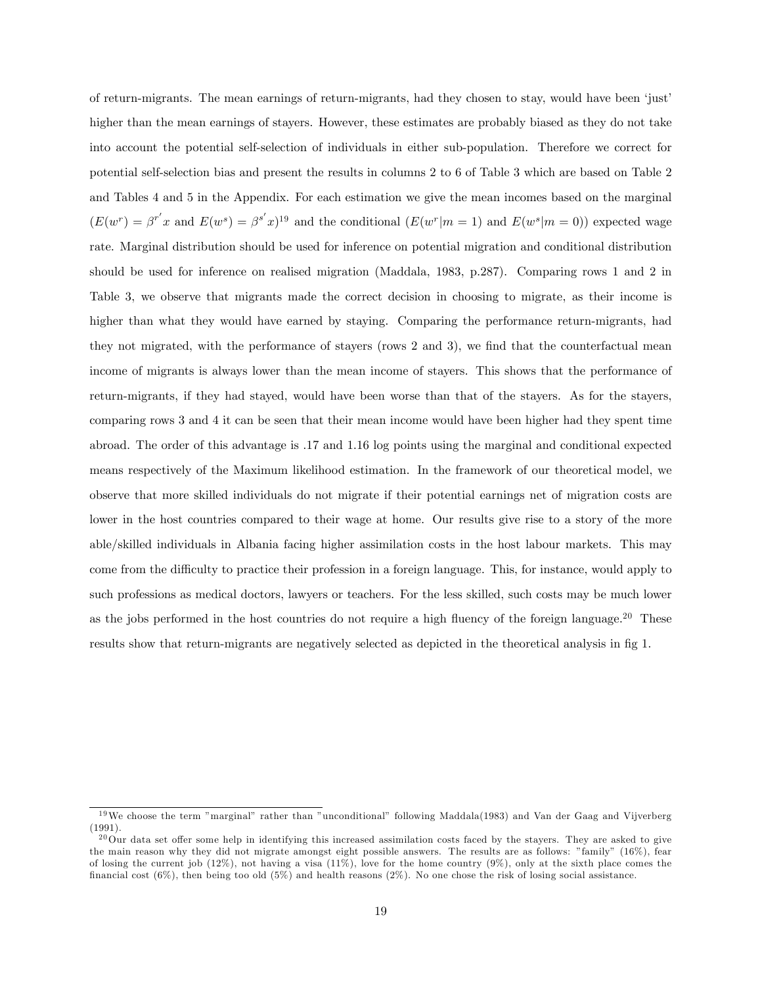of return-migrants. The mean earnings of return-migrants, had they chosen to stay, would have been 'just' higher than the mean earnings of stayers. However, these estimates are probably biased as they do not take into account the potential self-selection of individuals in either sub-population. Therefore we correct for potential self-selection bias and present the results in columns 2 to 6 of Table 3 which are based on Table 2 and Tables 4 and 5 in the Appendix. For each estimation we give the mean incomes based on the marginal  $(E(w^r) = \beta^{r'}x$  and  $E(w^s) = \beta^{s'}x)^{19}$  and the conditional  $(E(w^r|m=1)$  and  $E(w^s|m=0))$  expected wage rate. Marginal distribution should be used for inference on potential migration and conditional distribution should be used for inference on realised migration (Maddala, 1983, p.287). Comparing rows 1 and 2 in Table 3, we observe that migrants made the correct decision in choosing to migrate, as their income is higher than what they would have earned by staying. Comparing the performance return-migrants, had they not migrated, with the performance of stayers (rows  $2$  and  $3$ ), we find that the counterfactual mean income of migrants is always lower than the mean income of stayers. This shows that the performance of return-migrants, if they had stayed, would have been worse than that of the stayers. As for the stayers, comparing rows 3 and 4 it can be seen that their mean income would have been higher had they spent time abroad. The order of this advantage is .17 and 1.16 log points using the marginal and conditional expected means respectively of the Maximum likelihood estimation. In the framework of our theoretical model, we observe that more skilled individuals do not migrate if their potential earnings net of migration costs are lower in the host countries compared to their wage at home. Our results give rise to a story of the more able/skilled individuals in Albania facing higher assimilation costs in the host labour markets. This may come from the difficulty to practice their profession in a foreign language. This, for instance, would apply to such professions as medical doctors, lawyers or teachers. For the less skilled, such costs may be much lower as the jobs performed in the host countries do not require a high fluency of the foreign language.<sup>20</sup> These results show that return-migrants are negatively selected as depicted in the theoretical analysis in fig 1.

 $19\,\text{We choose the term "marginal" rather than "unconditional" following Maddala(1983) and Van der Gaag and Vijverberg$ (1991).

 $^{20}$ Our data set offer some help in identifying this increased assimilation costs faced by the stayers. They are asked to give the main reason why they did not migrate amongst eight possible answers. The results are as follows: "family" (16%), fear of losing the current job (12%), not having a visa (11%), love for the home country (9%), only at the sixth place comes the financial cost  $(6%)$ , then being too old  $(5%)$  and health reasons  $(2%)$ . No one chose the risk of losing social assistance.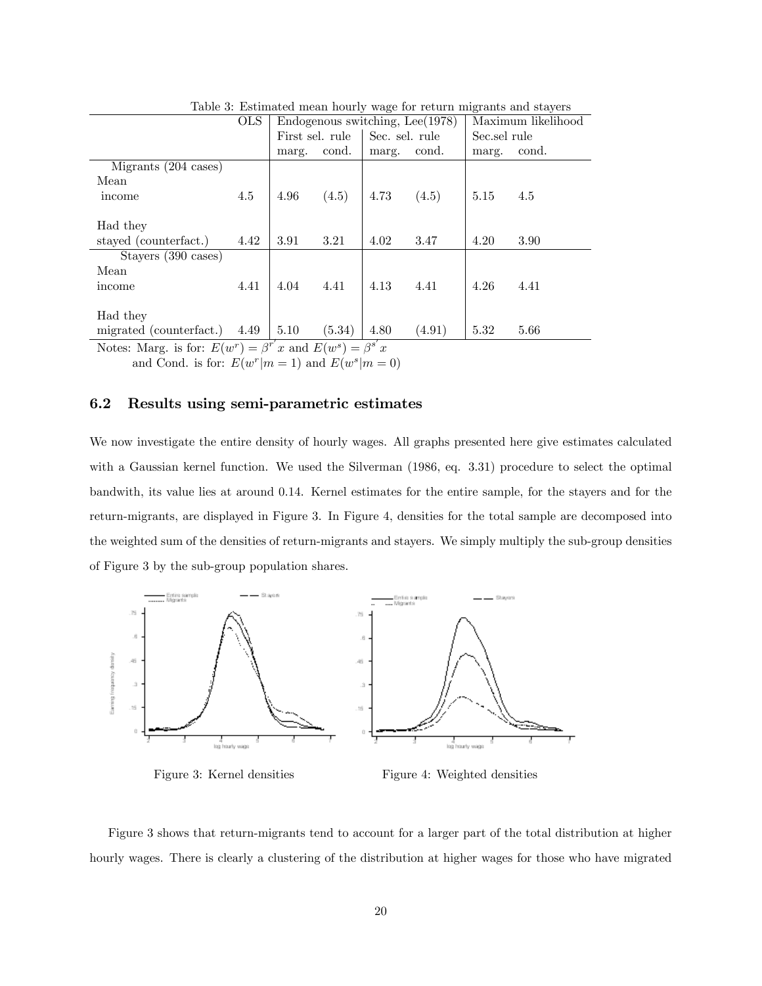|                                                                                                  | <b>OLS</b> |                 |        |                | Endogenous switching, Lee (1978) |              | Maximum likelihood |
|--------------------------------------------------------------------------------------------------|------------|-----------------|--------|----------------|----------------------------------|--------------|--------------------|
|                                                                                                  |            | First sel. rule |        | Sec. sel. rule |                                  | Sec.sel rule |                    |
|                                                                                                  |            | marg.           | cond.  | marg.          | cond.                            | marg.        | cond.              |
| Migrants $(204 \text{ cases})$                                                                   |            |                 |        |                |                                  |              |                    |
| Mean                                                                                             |            |                 |        |                |                                  |              |                    |
| income                                                                                           | 4.5        | 4.96            | (4.5)  | 4.73           | (4.5)                            | 5.15         | 4.5                |
|                                                                                                  |            |                 |        |                |                                  |              |                    |
| Had they                                                                                         |            |                 |        |                |                                  |              |                    |
| stayed (counterfact.)                                                                            | 4.42       | 3.91            | 3.21   | 4.02           | 3.47                             | 4.20         | 3.90               |
| Stayers (390 cases)                                                                              |            |                 |        |                |                                  |              |                    |
| Mean                                                                                             |            |                 |        |                |                                  |              |                    |
| income                                                                                           | 4.41       | 4.04            | 4.41   | 4.13           | 4.41                             | 4.26         | 4.41               |
|                                                                                                  |            |                 |        |                |                                  |              |                    |
| Had they                                                                                         |            |                 |        |                |                                  |              |                    |
| migrated (counterfact.)                                                                          | 4.49       | 5.10            | (5.34) | 4.80           | (4.91)                           | 5.32         | 5.66               |
| $\mathbf{M}$ $\mathbf{M}$ $\mathbf{C}$ $\mathbf{E}(r)$ $\partial r$ $\mathbf{I}$ $\mathbf{E}(s)$ |            |                 |        | $\bigcirc$ s   |                                  |              |                    |

Table 3: Estimated mean hourly wage for return migrants and stayers

Notes: Marg. is for:  $E(w^r) = \beta^{r'} x$  and  $E(w^s) = \beta^{s'} x$ and Cond. is for:  $E(w^r|m=1)$  and  $E(w^s|m=0)$ 

#### 6.2 Results using semi-parametric estimates

We now investigate the entire density of hourly wages. All graphs presented here give estimates calculated with a Gaussian kernel function. We used the Silverman (1986, eq. 3.31) procedure to select the optimal bandwith, its value lies at around 0.14. Kernel estimates for the entire sample, for the stayers and for the return-migrants, are displayed in Figure 3. In Figure 4, densities for the total sample are decomposed into the weighted sum of the densities of return-migrants and stayers. We simply multiply the sub-group densities of Figure 3 by the sub-group population shares.



Figure 3: Kernel densities Figure 4: Weighted densities

Figure 3 shows that return-migrants tend to account for a larger part of the total distribution at higher hourly wages. There is clearly a clustering of the distribution at higher wages for those who have migrated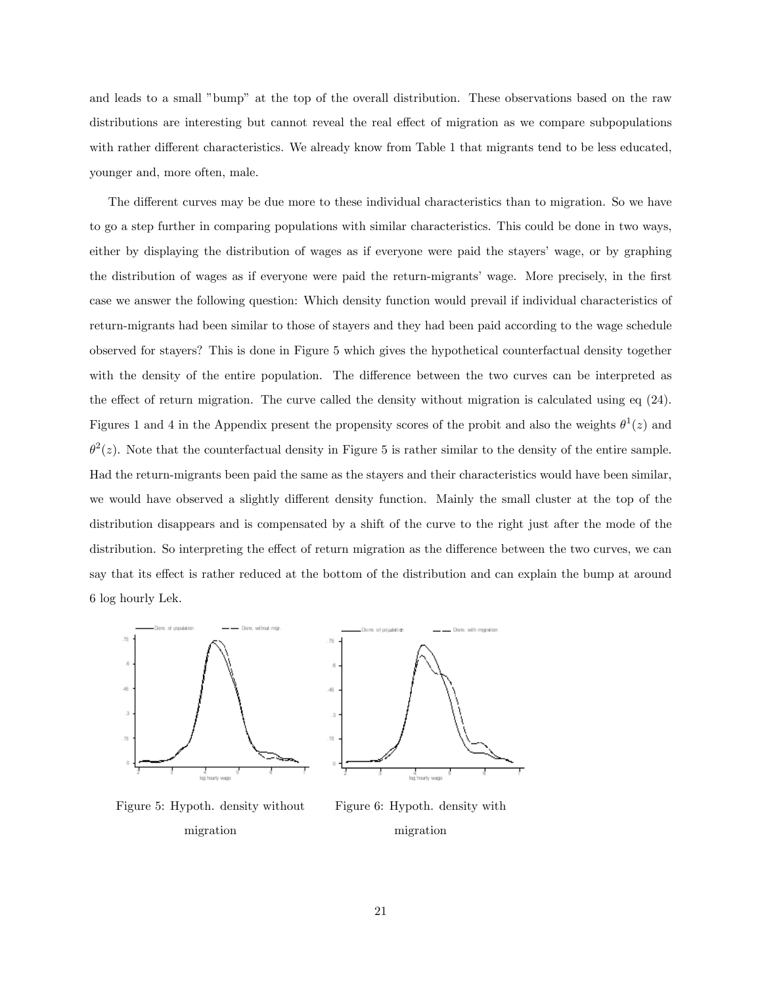and leads to a small "bump" at the top of the overall distribution. These observations based on the raw distributions are interesting but cannot reveal the real effect of migration as we compare subpopulations with rather different characteristics. We already know from Table 1 that migrants tend to be less educated, younger and, more often, male.

The different curves may be due more to these individual characteristics than to migration. So we have to go a step further in comparing populations with similar characteristics. This could be done in two ways, either by displaying the distribution of wages as if everyone were paid the stayers' wage, or by graphing the distribution of wages as if everyone were paid the return-migrants' wage. More precisely, in the first case we answer the following question: Which density function would prevail if individual characteristics of return-migrants had been similar to those of stayers and they had been paid according to the wage schedule observed for stayers? This is done in Figure 5 which gives the hypothetical counterfactual density together with the density of the entire population. The difference between the two curves can be interpreted as the effect of return migration. The curve called the density without migration is calculated using eq  $(24)$ . Figures 1 and 4 in the Appendix present the propensity scores of the probit and also the weights  $\theta^1(z)$  and  $\theta^2(z)$ . Note that the counterfactual density in Figure 5 is rather similar to the density of the entire sample. Had the return-migrants been paid the same as the stayers and their characteristics would have been similar, we would have observed a slightly different density function. Mainly the small cluster at the top of the distribution disappears and is compensated by a shift of the curve to the right just after the mode of the distribution. So interpreting the effect of return migration as the difference between the two curves, we can say that its effect is rather reduced at the bottom of the distribution and can explain the bump at around 6 log hourly Lek.



Figure 5: Hypoth. density without migration

Figure 6: Hypoth. density with migration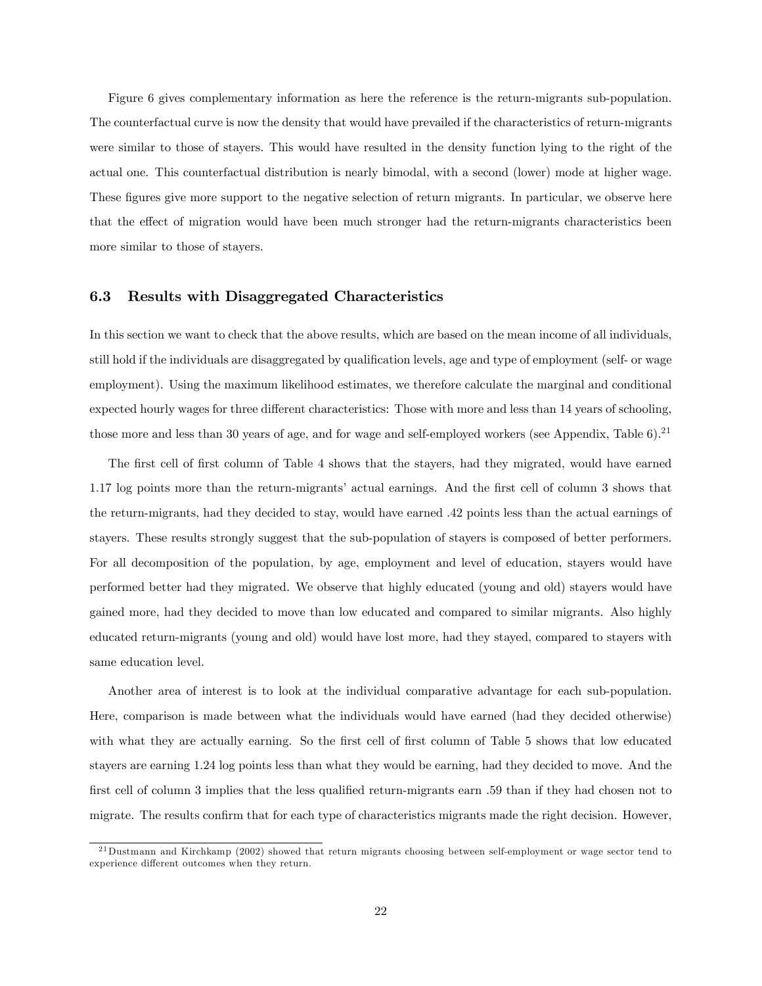Figure 6 gives complementary information as here the reference is the return-migrants sub-population. The counterfactual curve is now the density that would have prevailed if the characteristics of return-migrants were similar to those of stayers. This would have resulted in the density function lying to the right of the actual one. This counterfactual distribution is nearly bimodal, with a second (lower) mode at higher wage. These figures give more support to the negative selection of return migrants. In particular, we observe here that the effect of migration would have been much stronger had the return-migrants characteristics been more similar to those of stayers.

#### 6.3 Results with Disaggregated Characteristics

In this section we want to check that the above results, which are based on the mean income of all individuals, still hold if the individuals are disaggregated by qualification levels, age and type of employment (self- or wage employment). Using the maximum likelihood estimates, we therefore calculate the marginal and conditional expected hourly wages for three different characteristics: Those with more and less than 14 years of schooling, those more and less than 30 years of age, and for wage and self-employed workers (see Appendix, Table  $6$ ).<sup>21</sup>

The first cell of first column of Table 4 shows that the stayers, had they migrated, would have earned 1.17 log points more than the return-migrants' actual earnings. And the first cell of column 3 shows that the return-migrants, had they decided to stay, would have earned .42 points less than the actual earnings of stayers. These results strongly suggest that the sub-population of stayers is composed of better performers. For all decomposition of the population, by age, employment and level of education, stayers would have performed better had they migrated. We observe that highly educated (young and old) stayers would have gained more, had they decided to move than low educated and compared to similar migrants. Also highly educated return-migrants (young and old) would have lost more, had they stayed, compared to stayers with same education level.

Another area of interest is to look at the individual comparative advantage for each sub-population. Here, comparison is made between what the individuals would have earned (had they decided otherwise) with what they are actually earning. So the first cell of first column of Table 5 shows that low educated stayers are earning 1.24 log points less than what they would be earning, had they decided to move. And the first cell of column 3 implies that the less qualified return-migrants earn .59 than if they had chosen not to migrate. The results confirm that for each type of characteristics migrants made the right decision. However,

<sup>&</sup>lt;sup>21</sup>Dustmann and Kirchkamp (2002) showed that return migrants choosing between self-employment or wage sector tend to experience different outcomes when they return.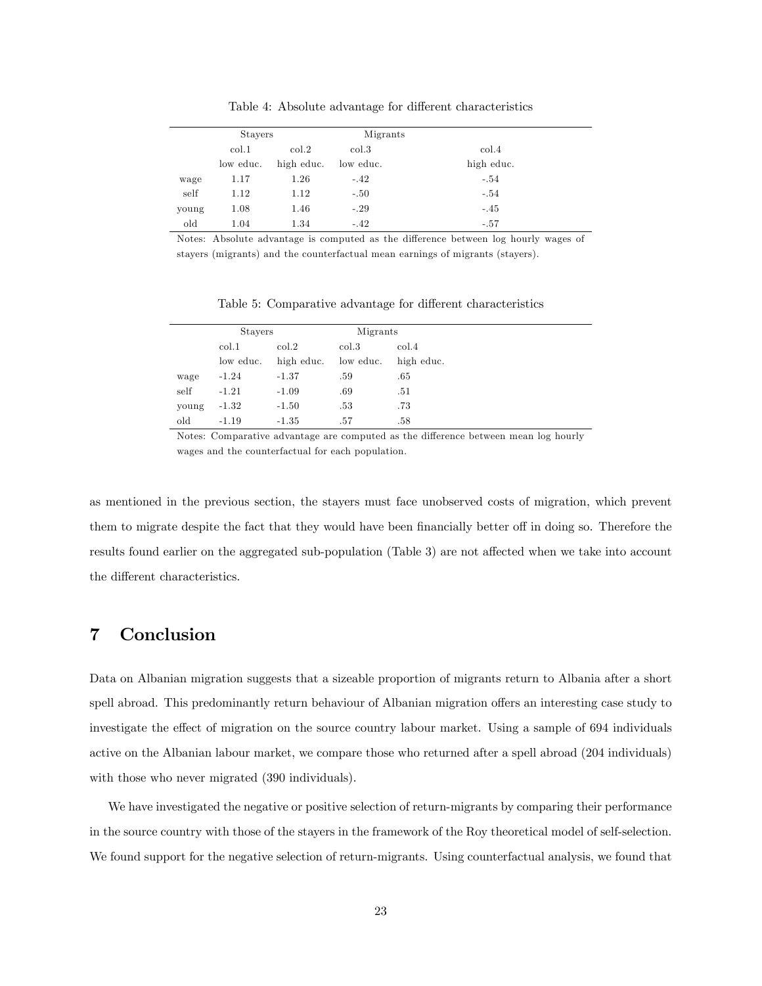|       | <b>Stayers</b>   |            | Migrants  |                  |
|-------|------------------|------------|-----------|------------------|
|       | $\mathrm{col.1}$ | col.2      | col.3     | $\mathrm{col.4}$ |
|       | low educ.        | high educ. | low educ. | high educ.       |
| wage  | 1.17             | 1.26       | - 42      | $-.54$           |
| self  | 1.12             | 1.12       | $-.50$    | $-.54$           |
| young | 1.08             | 1.46       | $-.29$    | $-.45$           |
| old   | 1.04             | 1.34       | $-.42$    | $-.57$           |

Table 4: Absolute advantage for different characteristics

Notes: Absolute advantage is computed as the difference between log hourly wages of stayers (migrants) and the counterfactual mean earnings of migrants (stayers).

Table 5: Comparative advantage for different characteristics

|       | <b>Stayers</b>   |                  | Migrants  |                  |
|-------|------------------|------------------|-----------|------------------|
|       | $\mathrm{col.1}$ | $\mathrm{col.2}$ | col.3     | $\mathrm{col.4}$ |
|       | low educ.        | high educ.       | low educ. | high educ.       |
| wage  | $-1.24$          | $-1.37$          | .59       | .65              |
| self  | $-1.21$          | $-1.09$          | .69       | .51              |
| young | $-1.32$          | $-1.50$          | .53       | .73              |
| old   | $-1.19$          | $-1.35$          | .57       | .58              |

Notes: Comparative advantage are computed as the difference between mean log hourly wages and the counterfactual for each population.

as mentioned in the previous section, the stayers must face unobserved costs of migration, which prevent them to migrate despite the fact that they would have been financially better off in doing so. Therefore the results found earlier on the aggregated sub-population (Table 3) are not affected when we take into account the different characteristics.

## 7 Conclusion

Data on Albanian migration suggests that a sizeable proportion of migrants return to Albania after a short spell abroad. This predominantly return behaviour of Albanian migration offers an interesting case study to investigate the effect of migration on the source country labour market. Using a sample of 694 individuals active on the Albanian labour market, we compare those who returned after a spell abroad (204 individuals) with those who never migrated  $(390 \text{ individuals}).$ 

We have investigated the negative or positive selection of return-migrants by comparing their performance in the source country with those of the stayers in the framework of the Roy theoretical model of self-selection. We found support for the negative selection of return-migrants. Using counterfactual analysis, we found that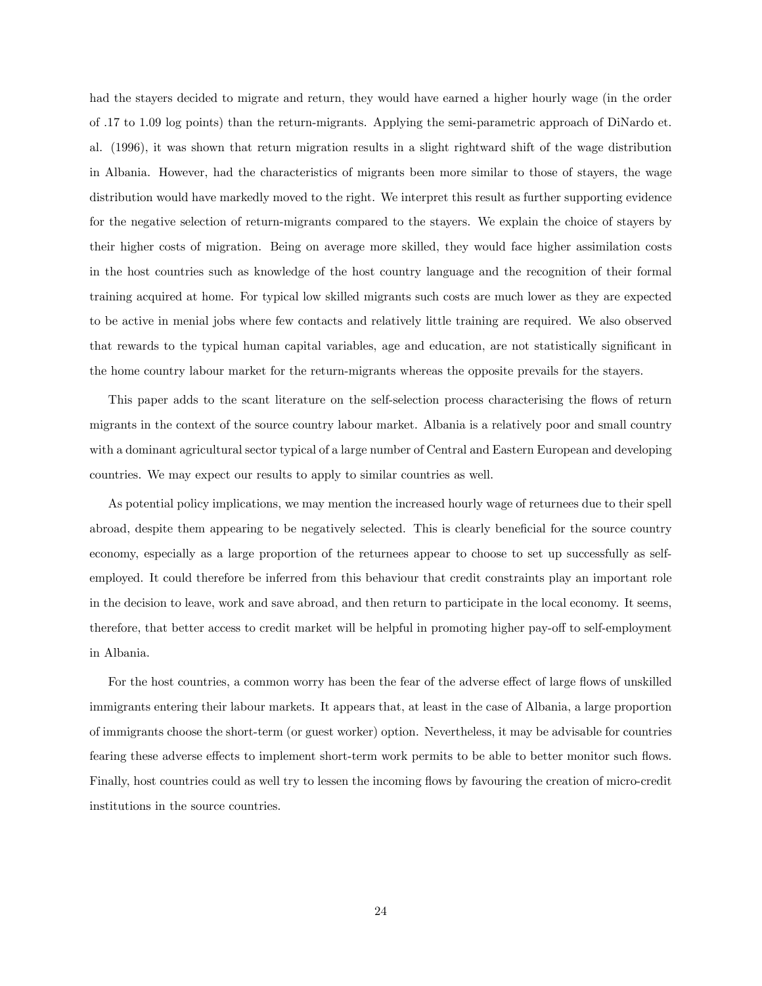had the stayers decided to migrate and return, they would have earned a higher hourly wage (in the order of .17 to 1.09 log points) than the return-migrants. Applying the semi-parametric approach of DiNardo et. al. (1996), it was shown that return migration results in a slight rightward shift of the wage distribution in Albania. However, had the characteristics of migrants been more similar to those of stayers, the wage distribution would have markedly moved to the right. We interpret this result as further supporting evidence for the negative selection of return-migrants compared to the stayers. We explain the choice of stayers by their higher costs of migration. Being on average more skilled, they would face higher assimilation costs in the host countries such as knowledge of the host country language and the recognition of their formal training acquired at home. For typical low skilled migrants such costs are much lower as they are expected to be active in menial jobs where few contacts and relatively little training are required. We also observed that rewards to the typical human capital variables, age and education, are not statistically significant in the home country labour market for the return-migrants whereas the opposite prevails for the stayers.

This paper adds to the scant literature on the self-selection process characterising the flows of return migrants in the context of the source country labour market. Albania is a relatively poor and small country with a dominant agricultural sector typical of a large number of Central and Eastern European and developing countries. We may expect our results to apply to similar countries as well.

As potential policy implications, we may mention the increased hourly wage of returnees due to their spell abroad, despite them appearing to be negatively selected. This is clearly beneficial for the source country economy, especially as a large proportion of the returnees appear to choose to set up successfully as selfemployed. It could therefore be inferred from this behaviour that credit constraints play an important role in the decision to leave, work and save abroad, and then return to participate in the local economy. It seems, therefore, that better access to credit market will be helpful in promoting higher pay-off to self-employment in Albania.

For the host countries, a common worry has been the fear of the adverse effect of large flows of unskilled immigrants entering their labour markets. It appears that, at least in the case of Albania, a large proportion of immigrants choose the short-term (or guest worker) option. Nevertheless, it may be advisable for countries fearing these adverse effects to implement short-term work permits to be able to better monitor such flows. Finally, host countries could as well try to lessen the incoming flows by favouring the creation of micro-credit institutions in the source countries.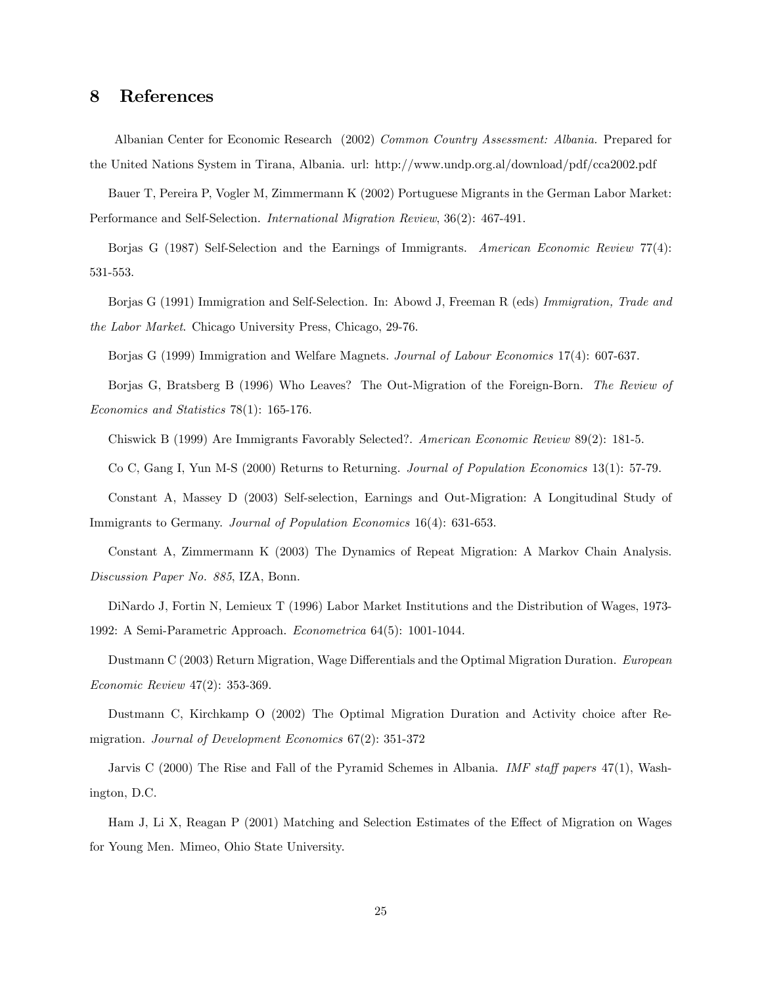## 8 References

Albanian Center for Economic Research (2002) Common Country Assessment: Albania. Prepared for the United Nations System in Tirana, Albania. url: http://www.undp.org.al/download/pdf/cca2002.pdf

Bauer T, Pereira P, Vogler M, Zimmermann K (2002) Portuguese Migrants in the German Labor Market: Performance and Self-Selection. International Migration Review, 36(2): 467-491.

Borjas G (1987) Self-Selection and the Earnings of Immigrants. American Economic Review 77(4): 531-553.

Borjas G (1991) Immigration and Self-Selection. In: Abowd J, Freeman R (eds) Immigration, Trade and the Labor Market. Chicago University Press, Chicago, 29-76.

Borjas G (1999) Immigration and Welfare Magnets. Journal of Labour Economics 17(4): 607-637.

Borjas G, Bratsberg B (1996) Who Leaves? The Out-Migration of the Foreign-Born. The Review of Economics and Statistics 78(1): 165-176.

Chiswick B (1999) Are Immigrants Favorably Selected?. American Economic Review 89(2): 181-5.

Co C, Gang I, Yun M-S (2000) Returns to Returning. Journal of Population Economics 13(1): 57-79.

Constant A, Massey D (2003) Self-selection, Earnings and Out-Migration: A Longitudinal Study of Immigrants to Germany. Journal of Population Economics 16(4): 631-653.

Constant A, Zimmermann K (2003) The Dynamics of Repeat Migration: A Markov Chain Analysis. Discussion Paper No. 885, IZA, Bonn.

DiNardo J, Fortin N, Lemieux T (1996) Labor Market Institutions and the Distribution of Wages, 1973- 1992: A Semi-Parametric Approach. Econometrica 64(5): 1001-1044.

Dustmann C (2003) Return Migration, Wage Differentials and the Optimal Migration Duration. European Economic Review 47(2): 353-369.

Dustmann C, Kirchkamp O (2002) The Optimal Migration Duration and Activity choice after Remigration. Journal of Development Economics 67(2): 351-372

Jarvis C (2000) The Rise and Fall of the Pyramid Schemes in Albania. *IMF staff papers*  $47(1)$ , Washington, D.C.

Ham J, Li X, Reagan P (2001) Matching and Selection Estimates of the Effect of Migration on Wages for Young Men. Mimeo, Ohio State University.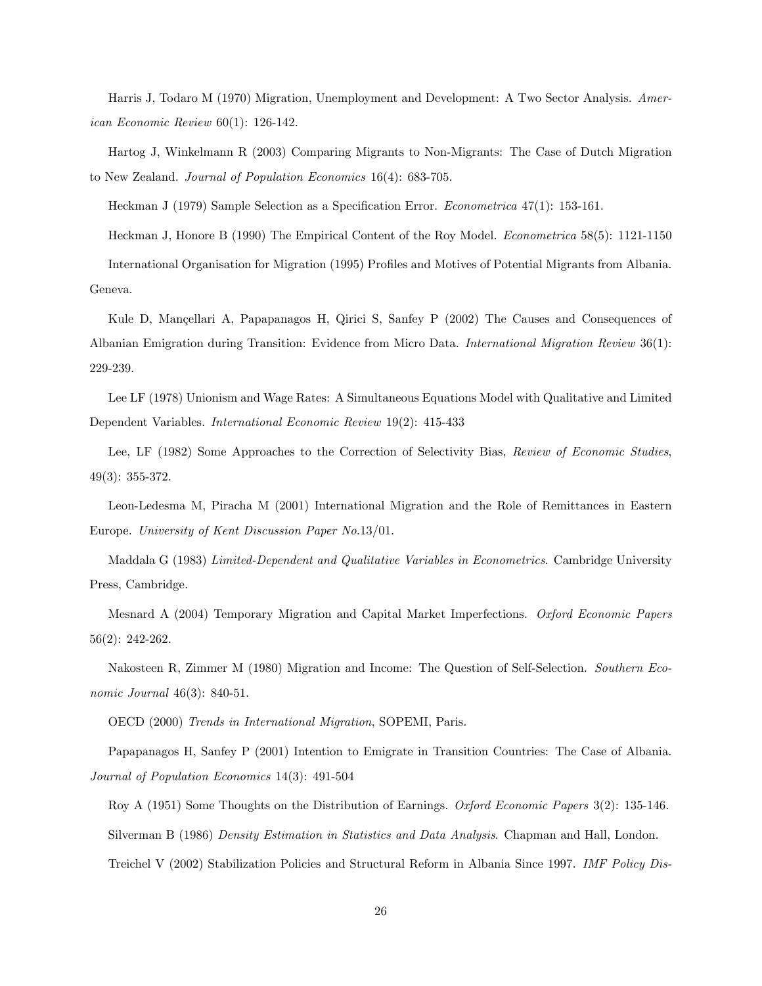Harris J, Todaro M (1970) Migration, Unemployment and Development: A Two Sector Analysis. American Economic Review 60(1): 126-142.

Hartog J, Winkelmann R (2003) Comparing Migrants to Non-Migrants: The Case of Dutch Migration to New Zealand. Journal of Population Economics 16(4): 683-705.

Heckman J (1979) Sample Selection as a Specification Error. Econometrica 47(1): 153-161.

Heckman J, Honore B (1990) The Empirical Content of the Roy Model. Econometrica 58(5): 1121-1150

International Organisation for Migration (1995) Profiles and Motives of Potential Migrants from Albania. Geneva.

Kule D, Mançellari A, Papapanagos H, Qirici S, Sanfey P (2002) The Causes and Consequences of Albanian Emigration during Transition: Evidence from Micro Data. International Migration Review 36(1): 229-239.

Lee LF (1978) Unionism and Wage Rates: A Simultaneous Equations Model with Qualitative and Limited Dependent Variables. International Economic Review 19(2): 415-433

Lee, LF (1982) Some Approaches to the Correction of Selectivity Bias, Review of Economic Studies, 49(3): 355-372.

Leon-Ledesma M, Piracha M (2001) International Migration and the Role of Remittances in Eastern Europe. University of Kent Discussion Paper No.13/01.

Maddala G (1983) Limited-Dependent and Qualitative Variables in Econometrics. Cambridge University Press, Cambridge.

Mesnard A (2004) Temporary Migration and Capital Market Imperfections. Oxford Economic Papers 56(2): 242-262.

Nakosteen R, Zimmer M (1980) Migration and Income: The Question of Self-Selection. Southern Economic Journal 46(3): 840-51.

OECD (2000) Trends in International Migration, SOPEMI, Paris.

Papapanagos H, Sanfey P (2001) Intention to Emigrate in Transition Countries: The Case of Albania. Journal of Population Economics 14(3): 491-504

Roy A (1951) Some Thoughts on the Distribution of Earnings. Oxford Economic Papers 3(2): 135-146. Silverman B (1986) Density Estimation in Statistics and Data Analysis. Chapman and Hall, London. Treichel V (2002) Stabilization Policies and Structural Reform in Albania Since 1997. IMF Policy Dis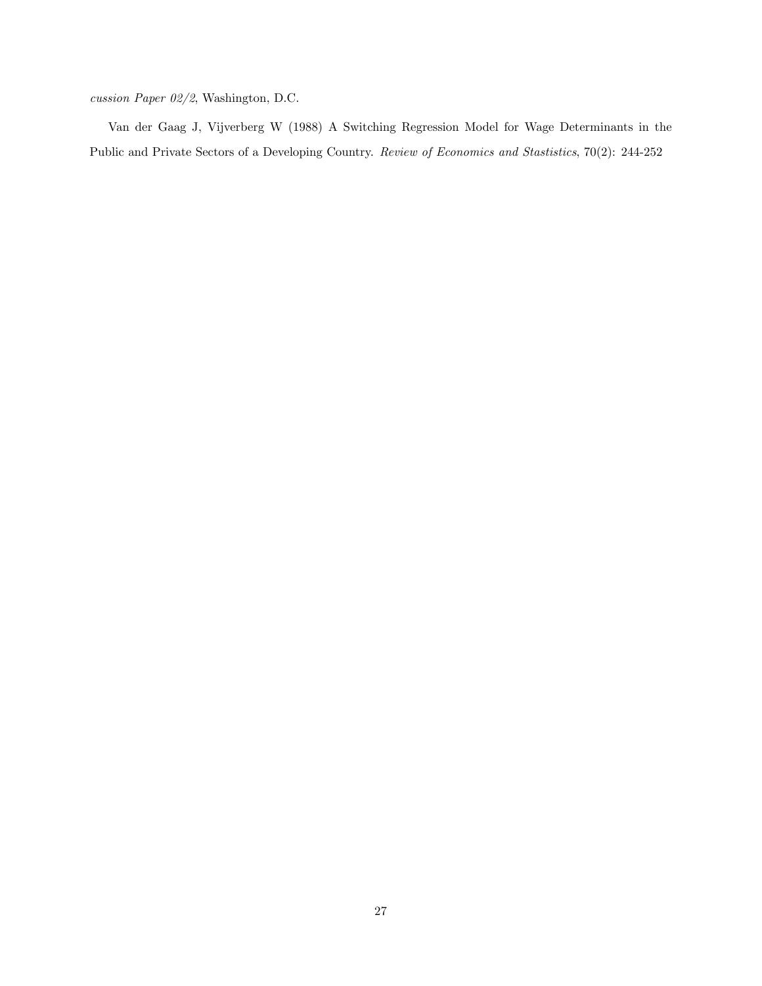cussion Paper 02/2, Washington, D.C.

Van der Gaag J, Vijverberg W (1988) A Switching Regression Model for Wage Determinants in the Public and Private Sectors of a Developing Country. Review of Economics and Stastistics, 70(2): 244-252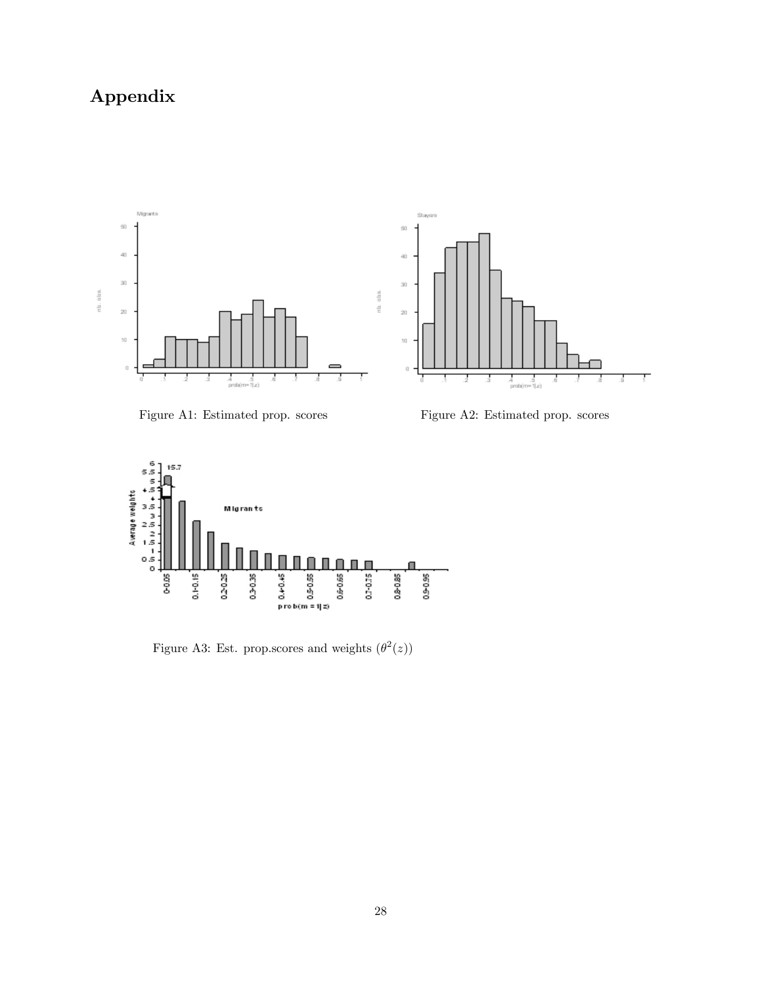## Appendix







Figure A3: Est. prop.scores and weights  $(\theta^2(z))$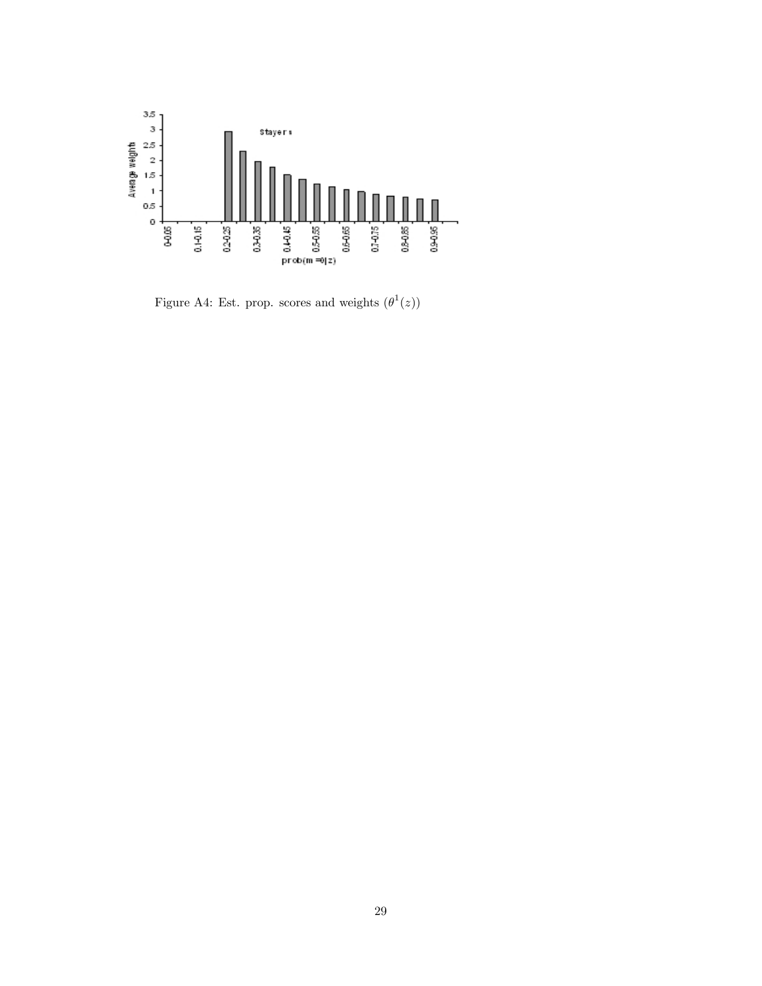

Figure A4: Est. prop. scores and weights  $(\theta^1(z))$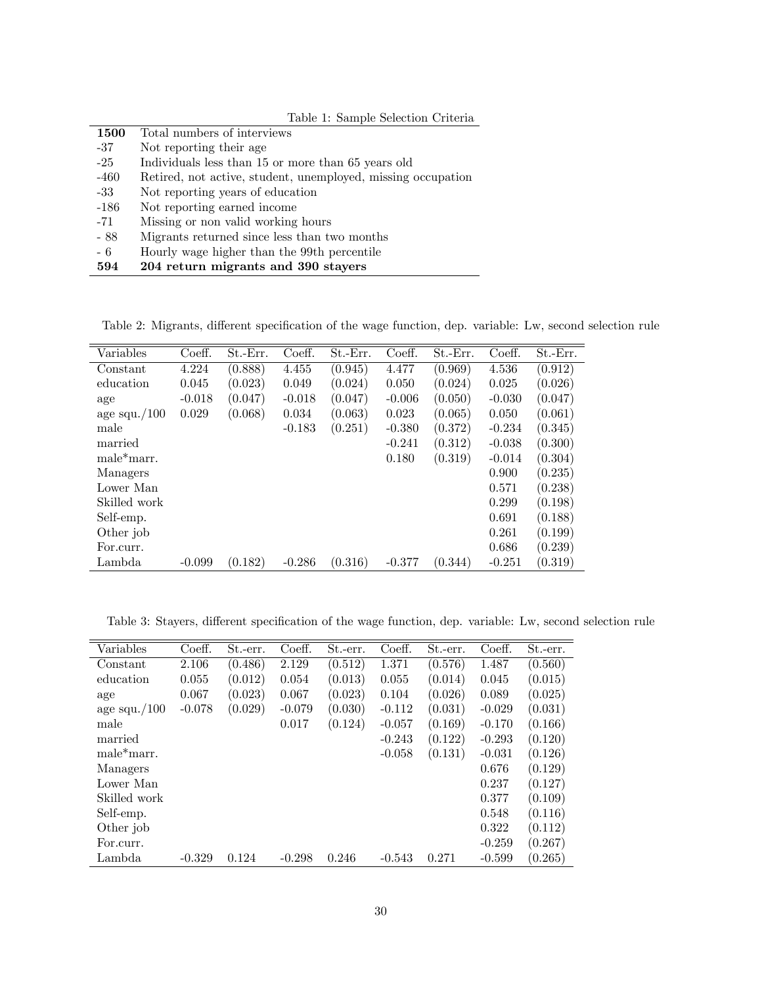| 1500   | Total numbers of interviews                                  |
|--------|--------------------------------------------------------------|
| $-37$  | Not reporting their age                                      |
| $-25$  | Individuals less than 15 or more than 65 years old           |
| $-460$ | Retired, not active, student, unemployed, missing occupation |
| -33    | Not reporting years of education                             |
| $-186$ | Not reporting earned income                                  |
| -71    | Missing or non valid working hours                           |
| - 88   | Migrants returned since less than two months                 |
| - 6    | Hourly wage higher than the 99th percentile                  |
| 594    | 204 return migrants and 390 stayers                          |

Table 2: Migrants, different specification of the wage function, dep. variable: Lw, second selection rule

| Variables               | Coeff.   | St.-Err. | Coeff.   | $St.-Err.$ | Coeff.   | $St.-Err.$ | Coeff.   | $St.-Err.$ |
|-------------------------|----------|----------|----------|------------|----------|------------|----------|------------|
| Constant                | 4.224    | (0.888)  | 4.455    | (0.945)    | 4.477    | (0.969)    | 4.536    | (0.912)    |
| education               | 0.045    | (0.023)  | 0.049    | (0.024)    | 0.050    | (0.024)    | 0.025    | (0.026)    |
| age                     | $-0.018$ | (0.047)  | $-0.018$ | (0.047)    | $-0.006$ | (0.050)    | $-0.030$ | (0.047)    |
| age squ./ $100$         | 0.029    | (0.068)  | 0.034    | (0.063)    | 0.023    | (0.065)    | 0.050    | (0.061)    |
| male                    |          |          | $-0.183$ | (0.251)    | $-0.380$ | (0.372)    | $-0.234$ | (0.345)    |
| married                 |          |          |          |            | $-0.241$ | (0.312)    | $-0.038$ | (0.300)    |
| male <sup>*</sup> marr. |          |          |          |            | 0.180    | (0.319)    | $-0.014$ | (0.304)    |
| Managers                |          |          |          |            |          |            | 0.900    | (0.235)    |
| Lower Man               |          |          |          |            |          |            | 0.571    | (0.238)    |
| Skilled work            |          |          |          |            |          |            | 0.299    | (0.198)    |
| Self-emp.               |          |          |          |            |          |            | 0.691    | (0.188)    |
| Other job               |          |          |          |            |          |            | 0.261    | (0.199)    |
| For.curr.               |          |          |          |            |          |            | 0.686    | (0.239)    |
| Lambda                  | $-0.099$ | (0.182)  | $-0.286$ | (0.316)    | $-0.377$ | (0.344)    | $-0.251$ | (0.319)    |

Table 3: Stayers, different specification of the wage function, dep. variable: Lw, second selection rule

| Variables               | Coeff.   | St.-err. | Coeff.   | St.-err. | Coeff.   | St.-err. | Coeff.   | St.-err. |
|-------------------------|----------|----------|----------|----------|----------|----------|----------|----------|
| Constant                | 2.106    | (0.486)  | 2.129    | (0.512)  | 1.371    | (0.576)  | 1.487    | (0.560)  |
| education               | 0.055    | (0.012)  | 0.054    | (0.013)  | 0.055    | (0.014)  | 0.045    | (0.015)  |
| age                     | 0.067    | (0.023)  | 0.067    | (0.023)  | 0.104    | (0.026)  | 0.089    | (0.025)  |
| age squ./ $100$         | $-0.078$ | (0.029)  | $-0.079$ | (0.030)  | $-0.112$ | (0.031)  | $-0.029$ | (0.031)  |
| male                    |          |          | 0.017    | (0.124)  | $-0.057$ | (0.169)  | $-0.170$ | (0.166)  |
| married                 |          |          |          |          | $-0.243$ | (0.122)  | $-0.293$ | (0.120)  |
| male <sup>*</sup> marr. |          |          |          |          | $-0.058$ | (0.131)  | $-0.031$ | (0.126)  |
| Managers                |          |          |          |          |          |          | 0.676    | (0.129)  |
| Lower Man               |          |          |          |          |          |          | 0.237    | (0.127)  |
| Skilled work            |          |          |          |          |          |          | 0.377    | (0.109)  |
| Self-emp.               |          |          |          |          |          |          | 0.548    | (0.116)  |
| Other job               |          |          |          |          |          |          | 0.322    | (0.112)  |
| For.curr.               |          |          |          |          |          |          | $-0.259$ | (0.267)  |
| Lambda                  | $-0.329$ | 0.124    | $-0.298$ | 0.246    | $-0.543$ | 0.271    | $-0.599$ | (0.265)  |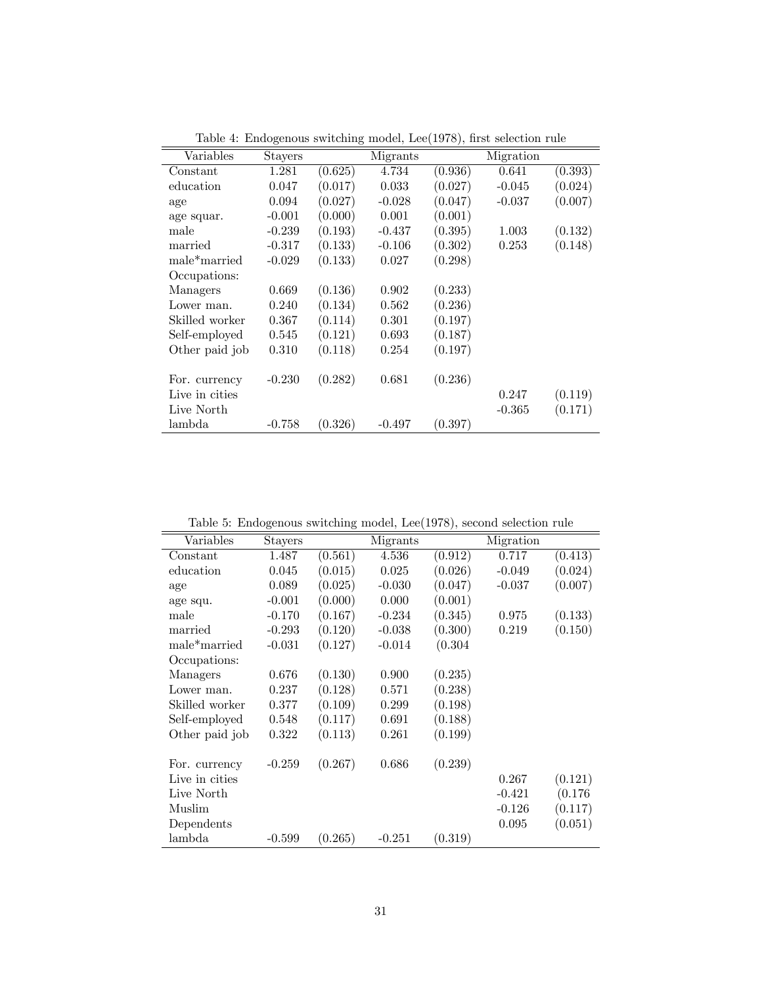| Variables      | Stayers  |         | Migrants |         | Migration |         |
|----------------|----------|---------|----------|---------|-----------|---------|
| Constant       | 1.281    | (0.625) | 4.734    | (0.936) | 0.641     | (0.393) |
| education      | 0.047    | (0.017) | 0.033    | (0.027) | $-0.045$  | (0.024) |
| age            | 0.094    | (0.027) | $-0.028$ | (0.047) | $-0.037$  | (0.007) |
| age squar.     | $-0.001$ | (0.000) | 0.001    | (0.001) |           |         |
| male           | $-0.239$ | (0.193) | $-0.437$ | (0.395) | 1.003     | (0.132) |
| married        | $-0.317$ | (0.133) | $-0.106$ | (0.302) | 0.253     | (0.148) |
| male*married   | $-0.029$ | (0.133) | 0.027    | (0.298) |           |         |
| Occupations:   |          |         |          |         |           |         |
| Managers       | 0.669    | (0.136) | 0.902    | (0.233) |           |         |
| Lower man.     | 0.240    | (0.134) | 0.562    | (0.236) |           |         |
| Skilled worker | 0.367    | (0.114) | 0.301    | (0.197) |           |         |
| Self-employed  | 0.545    | (0.121) | 0.693    | (0.187) |           |         |
| Other paid job | 0.310    | (0.118) | 0.254    | (0.197) |           |         |
|                |          |         |          |         |           |         |
| For. currency  | $-0.230$ | (0.282) | 0.681    | (0.236) |           |         |
| Live in cities |          |         |          |         | 0.247     | (0.119) |
| Live North     |          |         |          |         | $-0.365$  | (0.171) |
| lambda         | $-0.758$ | (0.326) | $-0.497$ | (0.397) |           |         |

Table 4: Endogenous switching model, Lee(1978), first selection rule

Table 5: Endogenous switching model, Lee(1978), second selection rule

| Variables      | Stayers  |         | Migrants |         | Migration |         |
|----------------|----------|---------|----------|---------|-----------|---------|
| Constant       | 1.487    | (0.561) | 4.536    | (0.912) | 0.717     | (0.413) |
| education      | 0.045    | (0.015) | 0.025    | (0.026) | $-0.049$  | (0.024) |
| age            | 0.089    | (0.025) | $-0.030$ | (0.047) | $-0.037$  | (0.007) |
| age squ.       | $-0.001$ | (0.000) | 0.000    | (0.001) |           |         |
| male           | $-0.170$ | (0.167) | $-0.234$ | (0.345) | 0.975     | (0.133) |
| married        | $-0.293$ | (0.120) | $-0.038$ | (0.300) | 0.219     | (0.150) |
| male*married   | $-0.031$ | (0.127) | $-0.014$ | (0.304) |           |         |
| Occupations:   |          |         |          |         |           |         |
| Managers       | 0.676    | (0.130) | 0.900    | (0.235) |           |         |
| Lower man.     | 0.237    | (0.128) | 0.571    | (0.238) |           |         |
| Skilled worker | 0.377    | (0.109) | 0.299    | (0.198) |           |         |
| Self-employed  | 0.548    | (0.117) | 0.691    | (0.188) |           |         |
| Other paid job | 0.322    | (0.113) | 0.261    | (0.199) |           |         |
|                |          |         |          |         |           |         |
| For. currency  | $-0.259$ | (0.267) | 0.686    | (0.239) |           |         |
| Live in cities |          |         |          |         | 0.267     | (0.121) |
| Live North     |          |         |          |         | $-0.421$  | (0.176) |
| Muslim         |          |         |          |         | $-0.126$  | (0.117) |
| Dependents     |          |         |          |         | 0.095     | (0.051) |
| lambda         | $-0.599$ | (0.265) | $-0.251$ | (0.319) |           |         |
|                |          |         |          |         |           |         |